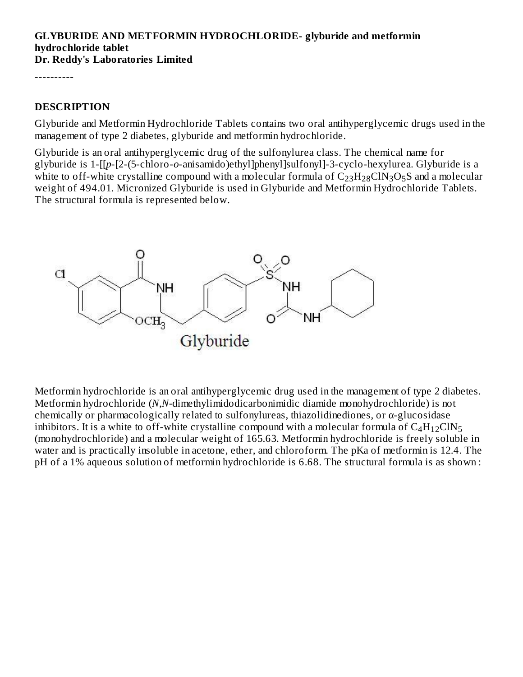#### **GLYBURIDE AND METFORMIN HYDROCHLORIDE- glyburide and metformin hydrochloride tablet Dr. Reddy's Laboratories Limited**

----------

### **DESCRIPTION**

Glyburide and Metformin Hydrochloride Tablets contains two oral antihyperglycemic drugs used in the management of type 2 diabetes, glyburide and metformin hydrochloride.

Glyburide is an oral antihyperglycemic drug of the sulfonylurea class. The chemical name for glyburide is 1-[[*p*-[2-(5-chloro-*o*-anisamido)ethyl]phenyl]sulfonyl]-3-cyclo-hexylurea. Glyburide is a white to off-white crystalline compound with a molecular formula of  $\rm{C_{23}H_{28}CIN_3O_5S}$  and a molecular weight of 494.01. Micronized Glyburide is used in Glyburide and Metformin Hydrochloride Tablets. The structural formula is represented below.



Metformin hydrochloride is an oral antihyperglycemic drug used in the management of type 2 diabetes. Metformin hydrochloride (*N*,*N-*dimethylimidodicarbonimidic diamide monohydrochloride) is not chemically or pharmacologically related to sulfonylureas, thiazolidinediones, or α-glucosidase inhibitors. It is a white to off-white crystalline compound with a molecular formula of  $\rm{C_4H_{12}CIN_5}$ (monohydrochloride) and a molecular weight of 165.63. Metformin hydrochloride is freely soluble in water and is practically insoluble in acetone, ether, and chloroform. The pKa of metformin is 12.4. The pH of a 1% aqueous solution of metformin hydrochloride is 6.68. The structural formula is as shown :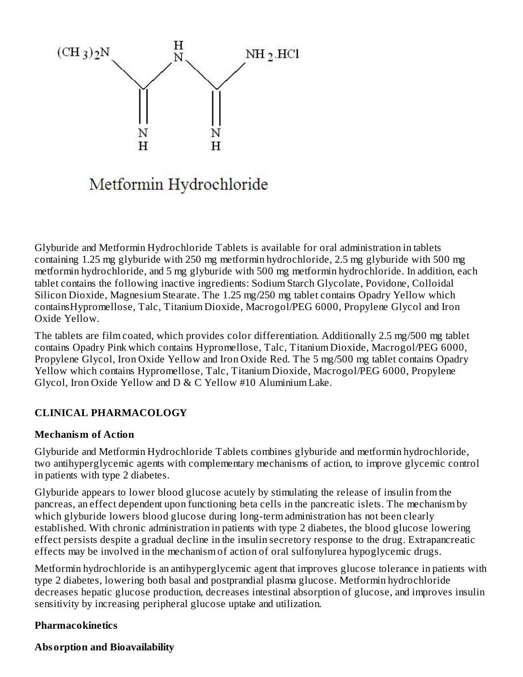

# Metformin Hydrochloride

Glyburide and Metformin Hydrochloride Tablets is available for oral administration in tablets containing 1.25 mg glyburide with 250 mg metformin hydrochloride, 2.5 mg glyburide with 500 mg metformin hydrochloride, and 5 mg glyburide with 500 mg metformin hydrochloride. In addition, each tablet contains the following inactive ingredients: Sodium Starch Glycolate, Povidone, Colloidal Silicon Dioxide, Magnesium Stearate. The 1.25 mg/250 mg tablet contains Opadry Yellow which containsHypromellose, Talc, Titanium Dioxide, Macrogol/PEG 6000, Propylene Glycol and Iron Oxide Yellow.

The tablets are film coated, which provides color differentiation. Additionally 2.5 mg/500 mg tablet contains Opadry Pink which contains Hypromellose, Talc, Titanium Dioxide, Macrogol/PEG 6000, Propylene Glycol, Iron Oxide Yellow and Iron Oxide Red. The 5 mg/500 mg tablet contains Opadry Yellow which contains Hypromellose, Talc, Titanium Dioxide, Macrogol/PEG 6000, Propylene Glycol, Iron Oxide Yellow and D & C Yellow #10 Aluminium Lake.

## **CLINICAL PHARMACOLOGY**

### **Mechanism of Action**

Glyburide and Metformin Hydrochloride Tablets combines glyburide and metformin hydrochloride, two antihyperglycemic agents with complementary mechanisms of action, to improve glycemic control in patients with type 2 diabetes.

Glyburide appears to lower blood glucose acutely by stimulating the release of insulin from the pancreas, an effect dependent upon functioning beta cells in the pancreatic islets. The mechanism by which glyburide lowers blood glucose during long-term administration has not been clearly established. With chronic administration in patients with type 2 diabetes, the blood glucose lowering effect persists despite a gradual decline in the insulin secretory response to the drug. Extrapancreatic effects may be involved in the mechanism of action of oral sulfonylurea hypoglycemic drugs.

Metformin hydrochloride is an antihyperglycemic agent that improves glucose tolerance in patients with type 2 diabetes, lowering both basal and postprandial plasma glucose. Metformin hydrochloride decreases hepatic glucose production, decreases intestinal absorption of glucose, and improves insulin sensitivity by increasing peripheral glucose uptake and utilization.

## **Pharmacokinetics**

### **Absorption and Bioavailability**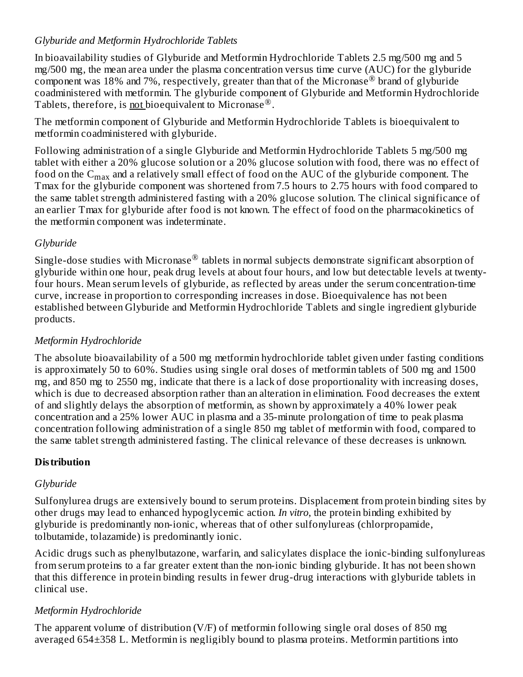## *Glyburide and Metformin Hydrochloride Tablets*

In bioavailability studies of Glyburide and Metformin Hydrochloride Tablets 2.5 mg/500 mg and 5 mg/500 mg, the mean area under the plasma concentration versus time curve (AUC) for the glyburide component was 18% and 7%, respectively, greater than that of the Micronase<sup>®</sup> brand of glyburide coadministered with metformin. The glyburide component of Glyburide and Metformin Hydrochloride Tablets, therefore, is **not** bioequivalent to Micronase<sup>®</sup>.

The metformin component of Glyburide and Metformin Hydrochloride Tablets is bioequivalent to metformin coadministered with glyburide.

Following administration of a single Glyburide and Metformin Hydrochloride Tablets 5 mg/500 mg tablet with either a 20% glucose solution or a 20% glucose solution with food, there was no effect of food on the  $\mathsf{C}_{\max}$  and a relatively small effect of food on the AUC of the glyburide component. The Tmax for the glyburide component was shortened from 7.5 hours to 2.75 hours with food compared to the same tablet strength administered fasting with a 20% glucose solution. The clinical significance of an earlier Tmax for glyburide after food is not known. The effect of food on the pharmacokinetics of the metformin component was indeterminate.

## *Glyburide*

Single-dose studies with Micronase $^\circledR$  tablets in normal subjects demonstrate significant absorption of glyburide within one hour, peak drug levels at about four hours, and low but detectable levels at twentyfour hours. Mean serum levels of glyburide, as reflected by areas under the serum concentration-time curve, increase in proportion to corresponding increases in dose. Bioequivalence has not been established between Glyburide and Metformin Hydrochloride Tablets and single ingredient glyburide products.

## *Metformin Hydrochloride*

The absolute bioavailability of a 500 mg metformin hydrochloride tablet given under fasting conditions is approximately 50 to 60%. Studies using single oral doses of metformin tablets of 500 mg and 1500 mg, and 850 mg to 2550 mg, indicate that there is a lack of dose proportionality with increasing doses, which is due to decreased absorption rather than an alteration in elimination. Food decreases the extent of and slightly delays the absorption of metformin, as shown by approximately a 40% lower peak concentration and a 25% lower AUC in plasma and a 35-minute prolongation of time to peak plasma concentration following administration of a single 850 mg tablet of metformin with food, compared to the same tablet strength administered fasting. The clinical relevance of these decreases is unknown.

## **Distribution**

## *Glyburide*

Sulfonylurea drugs are extensively bound to serum proteins. Displacement from protein binding sites by other drugs may lead to enhanced hypoglycemic action. *In vitro*, the protein binding exhibited by glyburide is predominantly non-ionic, whereas that of other sulfonylureas (chlorpropamide, tolbutamide, tolazamide) is predominantly ionic.

Acidic drugs such as phenylbutazone, warfarin, and salicylates displace the ionic-binding sulfonylureas from serum proteins to a far greater extent than the non-ionic binding glyburide. It has not been shown that this difference in protein binding results in fewer drug-drug interactions with glyburide tablets in clinical use.

## *Metformin Hydrochloride*

The apparent volume of distribution (V/F) of metformin following single oral doses of 850 mg averaged 654±358 L. Metformin is negligibly bound to plasma proteins. Metformin partitions into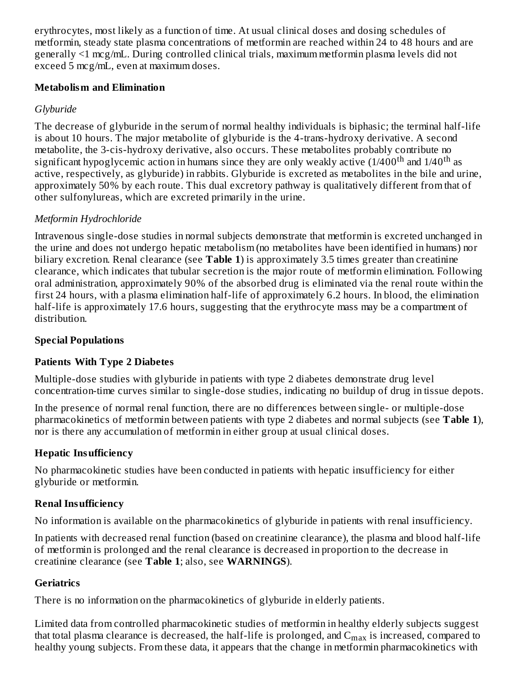erythrocytes, most likely as a function of time. At usual clinical doses and dosing schedules of metformin, steady state plasma concentrations of metformin are reached within 24 to 48 hours and are generally <1 mcg/mL. During controlled clinical trials, maximum metformin plasma levels did not exceed 5 mcg/mL, even at maximum doses.

### **Metabolism and Elimination**

## *Glyburide*

The decrease of glyburide in the serum of normal healthy individuals is biphasic; the terminal half-life is about 10 hours. The major metabolite of glyburide is the 4-trans-hydroxy derivative. A second metabolite, the 3-cis-hydroxy derivative, also occurs. These metabolites probably contribute no significant hypoglycemic action in humans since they are only weakly active (1/400<sup>th</sup> and 1/40<sup>th</sup> as active, respectively, as glyburide) in rabbits. Glyburide is excreted as metabolites in the bile and urine, approximately 50% by each route. This dual excretory pathway is qualitatively different from that of other sulfonylureas, which are excreted primarily in the urine.

## *Metformin Hydrochloride*

Intravenous single-dose studies in normal subjects demonstrate that metformin is excreted unchanged in the urine and does not undergo hepatic metabolism (no metabolites have been identified in humans) nor biliary excretion. Renal clearance (see **Table 1**) is approximately 3.5 times greater than creatinine clearance, which indicates that tubular secretion is the major route of metformin elimination. Following oral administration, approximately 90% of the absorbed drug is eliminated via the renal route within the first 24 hours, with a plasma elimination half-life of approximately 6.2 hours. In blood, the elimination half-life is approximately 17.6 hours, suggesting that the erythrocyte mass may be a compartment of distribution.

## **Special Populations**

## **Patients With Type 2 Diabetes**

Multiple-dose studies with glyburide in patients with type 2 diabetes demonstrate drug level concentration-time curves similar to single-dose studies, indicating no buildup of drug in tissue depots.

In the presence of normal renal function, there are no differences between single- or multiple-dose pharmacokinetics of metformin between patients with type 2 diabetes and normal subjects (see **Table 1**), nor is there any accumulation of metformin in either group at usual clinical doses.

## **Hepatic Insufficiency**

No pharmacokinetic studies have been conducted in patients with hepatic insufficiency for either glyburide or metformin.

## **Renal Insufficiency**

No information is available on the pharmacokinetics of glyburide in patients with renal insufficiency.

In patients with decreased renal function (based on creatinine clearance), the plasma and blood half-life of metformin is prolonged and the renal clearance is decreased in proportion to the decrease in creatinine clearance (see **Table 1**; also, see **WARNINGS**).

## **Geriatrics**

There is no information on the pharmacokinetics of glyburide in elderly patients.

Limited data from controlled pharmacokinetic studies of metformin in healthy elderly subjects suggest that total plasma clearance is decreased, the half-life is prolonged, and  $\rm{C_{max}}$  is increased, compared to healthy young subjects. From these data, it appears that the change in metformin pharmacokinetics with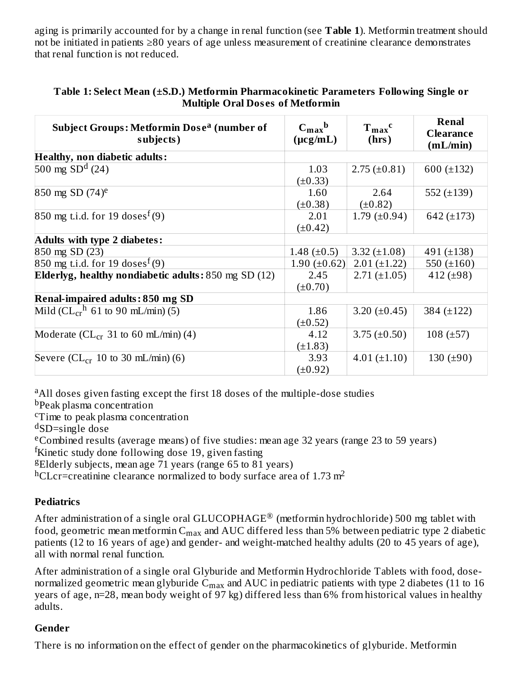aging is primarily accounted for by a change in renal function (see **Table 1**). Metformin treatment should not be initiated in patients ≥80 years of age unless measurement of creatinine clearance demonstrates that renal function is not reduced.

| <b>Subject Groups: Metformin Dose<sup>a</sup> (number of</b><br>subjects) | $C_{\rm max}$ <sub>b</sub><br>$(\mu cg/mL)$ | $T_{max}$ <sup>c</sup><br>(hrs) | <b>Renal</b><br><b>Clearance</b><br>(mL/min) |
|---------------------------------------------------------------------------|---------------------------------------------|---------------------------------|----------------------------------------------|
| <b>Healthy, non diabetic adults:</b>                                      |                                             |                                 |                                              |
| 500 mg $SDd$ (24)                                                         | 1.03                                        | $2.75 \ (\pm 0.81)$             | 600 $(\pm 132)$                              |
|                                                                           | $(\pm 0.33)$                                |                                 |                                              |
| 850 mg SD $(74)$ <sup>e</sup>                                             | 1.60                                        | 2.64                            | 552 $(\pm 139)$                              |
|                                                                           | $(\pm 0.38)$                                | $(\pm 0.82)$                    |                                              |
| 850 mg t.i.d. for 19 doses <sup>f</sup> (9)                               | 2.01                                        | 1.79 $(\pm 0.94)$               | 642 $(\pm 173)$                              |
|                                                                           | $(\pm 0.42)$                                |                                 |                                              |
| Adults with type 2 diabetes:                                              |                                             |                                 |                                              |
| 850 mg SD (23)                                                            | 1.48 $(\pm 0.5)$                            | 3.32 $(\pm 1.08)$               | 491 (±138)                                   |
| 850 mg t.i.d. for 19 doses <sup>f</sup> (9)                               | 1.90 $(\pm 0.62)$                           | $2.01 (\pm 1.22)$               | 550 $(\pm 160)$                              |
| Elderlyg, healthy nondiabetic adults: $850$ mg SD $(12)$                  | 2.45                                        | $2.71 (\pm 1.05)$               | 412 $(\pm 98)$                               |
|                                                                           | $(\pm 0.70)$                                |                                 |                                              |
| <b>Renal-impaired adults: 850 mg SD</b>                                   |                                             |                                 |                                              |
| Mild ( $CL_{cr}$ <sup>h</sup> 61 to 90 mL/min) (5)                        | 1.86                                        | 3.20 $(\pm 0.45)$               | 384 (±122)                                   |
|                                                                           | $(\pm 0.52)$                                |                                 |                                              |
| Moderate ( $CL_{cr}$ 31 to 60 mL/min) (4)                                 | 4.12                                        | 3.75 $(\pm 0.50)$               | $108 (\pm 57)$                               |
|                                                                           | $(\pm 1.83)$                                |                                 |                                              |
| Severe ( $CL_{cr}$ 10 to 30 mL/min) (6)                                   | 3.93                                        | $4.01 (\pm 1.10)$               | 130 $(\pm 90)$                               |
|                                                                           | $(\pm 0.92)$                                |                                 |                                              |

### **Table 1: Select Mean (±S.D.) Metformin Pharmacokinetic Parameters Following Single or Multiple Oral Dos es of Metformin**

<sup>a</sup>All doses given fasting except the first 18 doses of the multiple-dose studies

b<sub>Peak plasma concentration</sub>

<sup>c</sup>Time to peak plasma concentration

<sup>d</sup>SD=single dose

<sup>e</sup>Combined results (average means) of five studies: mean age 32 years (range 23 to 59 years)

<sup>f</sup>Kinetic study done following dose 19, given fasting

<sup>g</sup>Elderly subjects, mean age  $71$  years (range 65 to 81 years)

 $h$ CLcr=creatinine clearance normalized to body surface area of 1.73 m<sup>2</sup>

## **Pediatrics**

After administration of a single oral GLUCOPHAGE® (metformin hydrochloride) 500 mg tablet with food, geometric mean metformin  $\mathsf{C}_{\max}$  and  $\mathsf{AUC}$  differed less than 5% between pediatric type 2 diabetic patients (12 to 16 years of age) and gender- and weight-matched healthy adults (20 to 45 years of age), all with normal renal function.

After administration of a single oral Glyburide and Metformin Hydrochloride Tablets with food, dosenormalized geometric mean glyburide  $\mathsf{C_{max}}$  and  $\mathsf{AUC}$  in pediatric patients with type 2 diabetes (11 to 16 years of age, n=28, mean body weight of 97 kg) differed less than 6% from historical values in healthy adults.

## **Gender**

There is no information on the effect of gender on the pharmacokinetics of glyburide. Metformin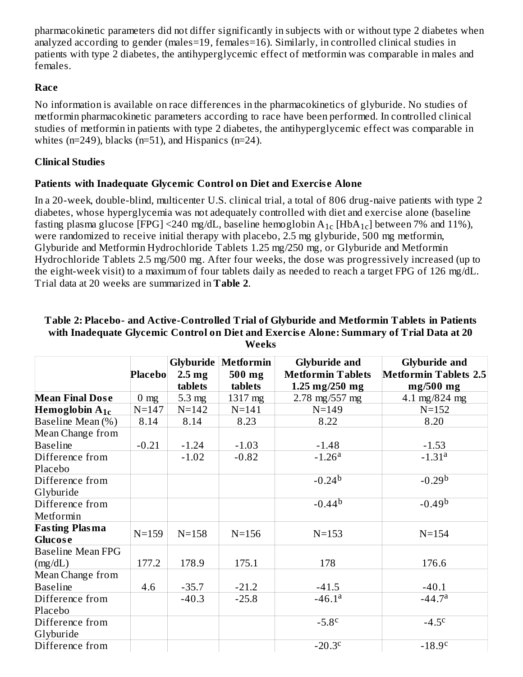pharmacokinetic parameters did not differ significantly in subjects with or without type 2 diabetes when analyzed according to gender (males=19, females=16). Similarly, in controlled clinical studies in patients with type 2 diabetes, the antihyperglycemic effect of metformin was comparable in males and females.

### **Race**

No information is available on race differences in the pharmacokinetics of glyburide. No studies of metformin pharmacokinetic parameters according to race have been performed. In controlled clinical studies of metformin in patients with type 2 diabetes, the antihyperglycemic effect was comparable in whites ( $n=249$ ), blacks ( $n=51$ ), and Hispanics ( $n=24$ ).

## **Clinical Studies**

## **Patients with Inadequate Glycemic Control on Diet and Exercis e Alone**

In a 20-week, double-blind, multicenter U.S. clinical trial, a total of 806 drug-naive patients with type 2 diabetes, whose hyperglycemia was not adequately controlled with diet and exercise alone (baseline fasting plasma glucose [FPG] <240 mg/dL, baseline hemoglobin  $\rm A_{1c}$  [Hb $\rm A_{1c}$ ] between 7% and 11%), were randomized to receive initial therapy with placebo, 2.5 mg glyburide, 500 mg metformin, Glyburide and Metformin Hydrochloride Tablets 1.25 mg/250 mg, or Glyburide and Metformin Hydrochloride Tablets 2.5 mg/500 mg. After four weeks, the dose was progressively increased (up to the eight-week visit) to a maximum of four tablets daily as needed to reach a target FPG of 126 mg/dL. Trial data at 20 weeks are summarized in **Table 2**.

|                          |                |                   | <b>Glyburide   Metformin</b> | <b>Glyburide and</b>             | <b>Glyburide and</b>         |
|--------------------------|----------------|-------------------|------------------------------|----------------------------------|------------------------------|
|                          | <b>Placebo</b> | 2.5 <sub>mg</sub> | 500 mg                       | <b>Metformin Tablets</b>         | <b>Metformin Tablets 2.5</b> |
|                          |                | tablets           | tablets                      | $1.25 \text{ mg}/250 \text{ mg}$ | $mg/500$ mg                  |
| <b>Mean Final Dose</b>   | $0 \text{ mg}$ | $5.3 \text{ mg}$  | 1317 mg                      | 2.78 mg/557 mg                   | 4.1 mg/824 mg                |
| Hemoglobin $A_{1c}$      | $N = 147$      | $N = 142$         | $N = 141$                    | $N = 149$                        | $N = 152$                    |
| Baseline Mean (%)        | 8.14           | 8.14              | 8.23                         | 8.22                             | 8.20                         |
| Mean Change from         |                |                   |                              |                                  |                              |
| <b>Baseline</b>          | $-0.21$        | $-1.24$           | $-1.03$                      | $-1.48$                          | $-1.53$                      |
| Difference from          |                | $-1.02$           | $-0.82$                      | $-1.26a$                         | $-1.31a$                     |
| Placebo                  |                |                   |                              |                                  |                              |
| Difference from          |                |                   |                              | $-0.24b$                         | $-0.29b$                     |
| Glyburide                |                |                   |                              |                                  |                              |
| Difference from          |                |                   |                              | $-0.44b$                         | $-0.49b$                     |
| Metformin                |                |                   |                              |                                  |                              |
| <b>Fasting Plasma</b>    | $N = 159$      | $N = 158$         | $N = 156$                    | $N = 153$                        | $N = 154$                    |
| <b>Glucose</b>           |                |                   |                              |                                  |                              |
| <b>Baseline Mean FPG</b> |                |                   |                              |                                  |                              |
| (mg/dL)                  | 177.2          | 178.9             | 175.1                        | 178                              | 176.6                        |
| Mean Change from         |                |                   |                              |                                  |                              |
| <b>Baseline</b>          | 4.6            | $-35.7$           | $-21.2$                      | $-41.5$                          | $-40.1$                      |
| Difference from          |                | $-40.3$           | $-25.8$                      | $-46.1a$                         | $-44.7a$                     |
| Placebo                  |                |                   |                              |                                  |                              |
| Difference from          |                |                   |                              | $-5.8c$                          | $-4.5c$                      |
| Glyburide                |                |                   |                              |                                  |                              |
| Difference from          |                |                   |                              | $-20.3c$                         | $-18.9c$                     |

#### **Table 2: Placebo- and Active-Controlled Trial of Glyburide and Metformin Tablets in Patients with Inadequate Glycemic Control on Diet and Exercis e Alone: Summary of Trial Data at 20 Weeks**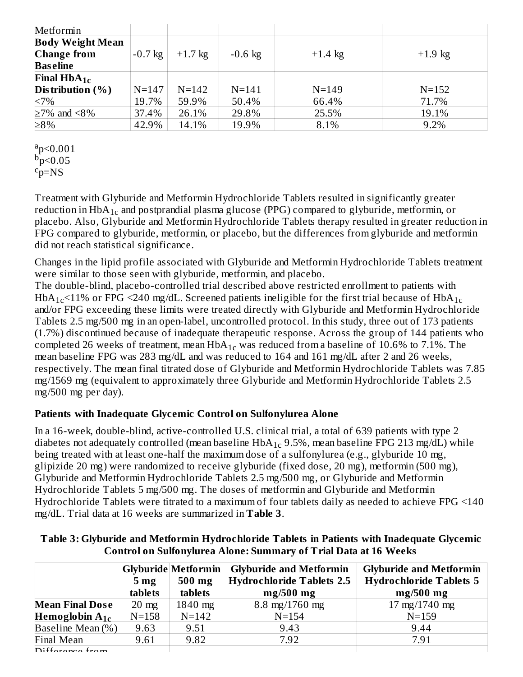| Metformin                     |           |           |           |           |           |
|-------------------------------|-----------|-----------|-----------|-----------|-----------|
| <b>Body Weight Mean</b>       |           |           |           |           |           |
| <b>Change from</b>            | $-0.7$ kg | $+1.7$ kg | $-0.6$ kg | $+1.4$ kg | $+1.9$ kg |
| <b>Baseline</b>               |           |           |           |           |           |
| <b>Final HbA<sub>1c</sub></b> |           |           |           |           |           |
| Distribution $(\% )$          | $N = 147$ | $N = 142$ | $N = 141$ | $N = 149$ | $N = 152$ |
| <7%                           | 19.7%     | 59.9%     | 50.4%     | 66.4%     | 71.7%     |
| $\geq$ 7% and <8%             | 37.4%     | 26.1%     | 29.8%     | 25.5%     | 19.1%     |
| $\geq 8\%$                    | 42.9%     | 14.1%     | 19.9%     | 8.1%      | 9.2%      |

 $a_p < 0.001$  $\dot{p}$  = 0.05  $c_{p=NS}$ 

Treatment with Glyburide and Metformin Hydrochloride Tablets resulted in significantly greater reduction in  $\rm HbA_{1c}$  and postprandial plasma glucose (PPG) compared to glyburide, metformin, or placebo. Also, Glyburide and Metformin Hydrochloride Tablets therapy resulted in greater reduction in FPG compared to glyburide, metformin, or placebo, but the differences from glyburide and metformin did not reach statistical significance.

Changes in the lipid profile associated with Glyburide and Metformin Hydrochloride Tablets treatment were similar to those seen with glyburide, metformin, and placebo.

The double-blind, placebo-controlled trial described above restricted enrollment to patients with HbA $_{\rm 1c}$ <11% or FPG <240 mg/dL. Screened patients ineligible for the first trial because of HbA $_{\rm 1c}$ and/or FPG exceeding these limits were treated directly with Glyburide and Metformin Hydrochloride Tablets 2.5 mg/500 mg in an open-label, uncontrolled protocol. In this study, three out of 173 patients (1.7%) discontinued because of inadequate therapeutic response. Across the group of 144 patients who completed 26 weeks of treatment, mean  $H\bar{b}A_{1c}$  was reduced from a baseline of 10.6% to 7.1%. The mean baseline FPG was 283 mg/dL and was reduced to 164 and 161 mg/dL after 2 and 26 weeks, respectively. The mean final titrated dose of Glyburide and Metformin Hydrochloride Tablets was 7.85 mg/1569 mg (equivalent to approximately three Glyburide and Metformin Hydrochloride Tablets 2.5 mg/500 mg per day).

### **Patients with Inadequate Glycemic Control on Sulfonylurea Alone**

In a 16-week, double-blind, active-controlled U.S. clinical trial, a total of 639 patients with type 2 diabetes not adequately controlled (mean baseline  $HbA_{1c}$  9.5%, mean baseline FPG 213 mg/dL) while being treated with at least one-half the maximum dose of a sulfonylurea (e.g., glyburide 10 mg, glipizide 20 mg) were randomized to receive glyburide (fixed dose, 20 mg), metformin (500 mg), Glyburide and Metformin Hydrochloride Tablets 2.5 mg/500 mg, or Glyburide and Metformin Hydrochloride Tablets 5 mg/500 mg. The doses of metformin and Glyburide and Metformin Hydrochloride Tablets were titrated to a maximum of four tablets daily as needed to achieve FPG <140 mg/dL. Trial data at 16 weeks are summarized in **Table 3**.

|                     | $500$ mg<br>5 <sub>mg</sub><br>tablets<br>tablets |           | Glyburide Metformin Glyburide and Metformin<br><b>Hydrochloride Tablets 2.5</b><br>$mg/500$ mg | <b>Glyburide and Metformin</b><br><b>Hydrochloride Tablets 5</b><br>$mg/500$ mg |  |
|---------------------|---------------------------------------------------|-----------|------------------------------------------------------------------------------------------------|---------------------------------------------------------------------------------|--|
| Mean Final Dose     | $20 \text{ mg}$                                   | 1840 mg   | $8.8 \text{ mg}/1760 \text{ mg}$                                                               | $17 \text{ mg}/1740 \text{ mg}$                                                 |  |
| Hemoglobin $A_{1c}$ | $N = 158$                                         | $N = 142$ | $N = 154$                                                                                      | $N = 159$                                                                       |  |
| Baseline Mean (%)   | 9.63                                              | 9.51      | 9.43                                                                                           | 9.44                                                                            |  |
| Final Mean          | 9.61                                              | 9.82      | 7.92                                                                                           | 7.91                                                                            |  |
|                     |                                                   |           |                                                                                                |                                                                                 |  |

a a

### **Table 3: Glyburide and Metformin Hydrochloride Tablets in Patients with Inadequate Glycemic Control on Sulfonylurea Alone: Summary of Trial Data at 16 Weeks**

Difference from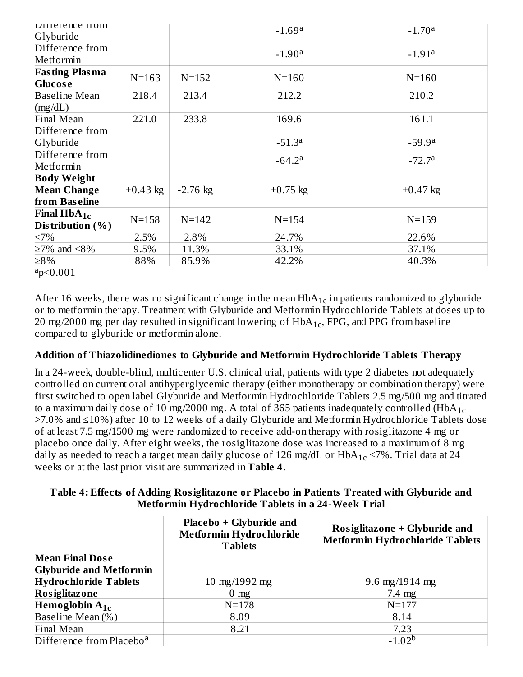| <b>DITTELETTICE ITOIII</b><br>Glyburide              |            |            | $-1.69a$   | $-1.70a$   |
|------------------------------------------------------|------------|------------|------------|------------|
| Difference from<br>Metformin                         |            |            | $-1.90a$   | $-1.91a$   |
| <b>Fasting Plasma</b><br><b>Glucose</b>              | $N = 163$  | $N = 152$  | $N = 160$  | $N = 160$  |
| <b>Baseline Mean</b><br>(mg/dL)                      | 218.4      | 213.4      | 212.2      | 210.2      |
| Final Mean                                           | 221.0      | 233.8      | 169.6      | 161.1      |
| Difference from                                      |            |            |            |            |
| Glyburide                                            |            |            | $-51.3a$   | $-59.9a$   |
| Difference from<br>Metformin                         |            |            | $-64.2a$   | $-72.7a$   |
| <b>Body Weight</b>                                   |            |            |            |            |
| <b>Mean Change</b>                                   | $+0.43$ kg | $-2.76$ kg | $+0.75$ kg | $+0.47$ kg |
| from Baseline                                        |            |            |            |            |
| <b>Final HbA<sub>1c</sub></b><br>Distribution $(\%)$ | $N = 158$  | $N = 142$  | $N = 154$  | $N = 159$  |
| <7%                                                  | 2.5%       | 2.8%       | 24.7%      | 22.6%      |
| $\geq$ 7% and <8%                                    | 9.5%       | 11.3%      | 33.1%      | 37.1%      |
| $\geq 8\%$                                           | 88%        | 85.9%      | 42.2%      | 40.3%      |

 $a_p < 0.001$ 

After 16 weeks, there was no significant change in the mean  $HbA_{1c}$  in patients randomized to glyburide or to metformin therapy. Treatment with Glyburide and Metformin Hydrochloride Tablets at doses up to 20 mg/2000 mg per day resulted in significant lowering of  $HbA_{1c}$ , FPG, and PPG from baseline compared to glyburide or metformin alone.

### **Addition of Thiazolidinediones to Glyburide and Metformin Hydrochloride Tablets Therapy**

In a 24-week, double-blind, multicenter U.S. clinical trial, patients with type 2 diabetes not adequately controlled on current oral antihyperglycemic therapy (either monotherapy or combination therapy) were first switched to open label Glyburide and Metformin Hydrochloride Tablets 2.5 mg/500 mg and titrated to a maximum daily dose of 10 mg/2000 mg. A total of 365 patients inadequately controlled (HbA $_{\rm 1c}$ >7.0% and ≤10%) after 10 to 12 weeks of a daily Glyburide and Metformin Hydrochloride Tablets dose of at least 7.5 mg/1500 mg were randomized to receive add-on therapy with rosiglitazone 4 mg or placebo once daily. After eight weeks, the rosiglitazone dose was increased to a maximum of 8 mg daily as needed to reach a target mean daily glucose of 126 mg/dL or HbA $_{\rm 1c}$  <7%. Trial data at 24 weeks or at the last prior visit are summarized in **Table 4**.

### **Table 4: Effects of Adding Rosiglitazone or Placebo in Patients Treated with Glyburide and Metformin Hydrochloride Tablets in a 24-Week Trial**

| Placebo + Glyburide and<br>Metformin Hydrochloride<br><b>Tablets</b> |                | Rosiglitazone + Glyburide and<br><b>Metformin Hydrochloride Tablets</b> |  |  |
|----------------------------------------------------------------------|----------------|-------------------------------------------------------------------------|--|--|
| <b>Mean Final Dose</b>                                               |                |                                                                         |  |  |
| <b>Glyburide and Metformin</b>                                       |                |                                                                         |  |  |
| <b>Hydrochloride Tablets</b>                                         | 10 mg/1992 mg  | 9.6 mg/1914 mg                                                          |  |  |
| Rosiglitazone                                                        | $0 \text{ mg}$ | $7.4 \text{ mg}$                                                        |  |  |
| Hemoglobin $A_{1c}$                                                  | $N = 178$      | $N = 177$                                                               |  |  |
| Baseline Mean (%)                                                    | 8.09           | 8.14                                                                    |  |  |
| Final Mean                                                           | 8.21           | 7.23                                                                    |  |  |
| Difference from Placebo <sup>a</sup>                                 |                | $-1.02b$                                                                |  |  |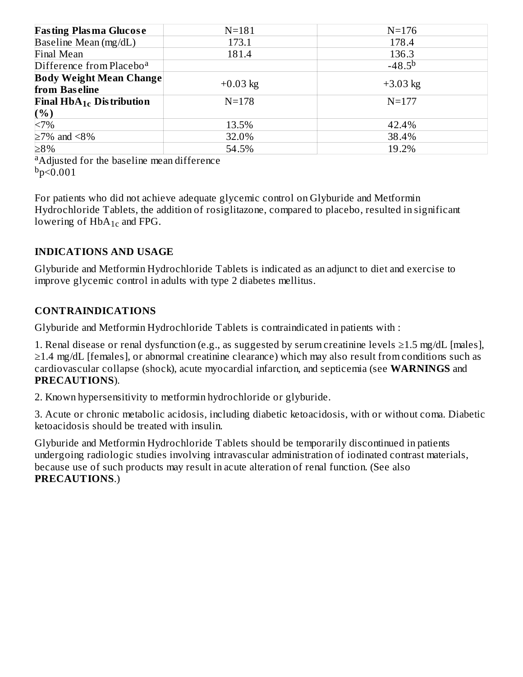| <b>Fasting Plasma Glucose</b>                   | $N = 181$  | $N = 176$   |
|-------------------------------------------------|------------|-------------|
| Baseline Mean (mg/dL)                           | 173.1      | 178.4       |
| Final Mean                                      | 181.4      | 136.3       |
| Difference from Placebo <sup>a</sup>            |            | $-48.5^{b}$ |
| <b>Body Weight Mean Change</b><br>from Baseline | $+0.03$ kg | $+3.03$ kg  |
| Final $HbA_{1c}$ Distribution                   | $N = 178$  | $N = 177$   |
|                                                 |            |             |
| $\frac{(\%)}{200}$                              | 13.5%      | 42.4%       |
| $\geq$ 7% and <8%                               | 32.0%      | 38.4%       |
| ≥8%                                             | 54.5%      | 19.2%       |

<sup>a</sup>Adjusted for the baseline mean difference  $b_p < 0.001$ 

For patients who did not achieve adequate glycemic control on Glyburide and Metformin Hydrochloride Tablets, the addition of rosiglitazone, compared to placebo, resulted in significant lowering of  $HbA_{1c}$  and FPG.

## **INDICATIONS AND USAGE**

Glyburide and Metformin Hydrochloride Tablets is indicated as an adjunct to diet and exercise to improve glycemic control in adults with type 2 diabetes mellitus.

## **CONTRAINDICATIONS**

Glyburide and Metformin Hydrochloride Tablets is contraindicated in patients with :

1. Renal disease or renal dysfunction (e.g., as suggested by serum creatinine levels ≥1.5 mg/dL [males], ≥1.4 mg/dL [females], or abnormal creatinine clearance) which may also result from conditions such as cardiovascular collapse (shock), acute myocardial infarction, and septicemia (see **WARNINGS** and **PRECAUTIONS**).

2. Known hypersensitivity to metformin hydrochloride or glyburide.

3. Acute or chronic metabolic acidosis, including diabetic ketoacidosis, with or without coma. Diabetic ketoacidosis should be treated with insulin.

Glyburide and Metformin Hydrochloride Tablets should be temporarily discontinued in patients undergoing radiologic studies involving intravascular administration of iodinated contrast materials, because use of such products may result in acute alteration of renal function. (See also **PRECAUTIONS**.)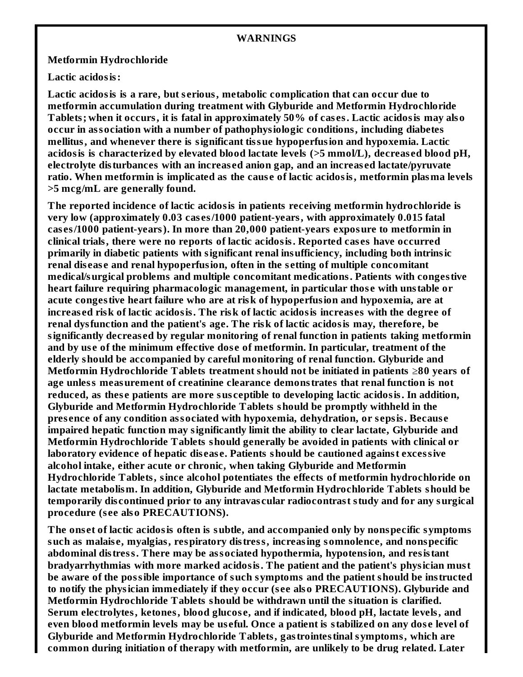#### **WARNINGS**

#### **Metformin Hydrochloride**

**Lactic acidosis:**

**Lactic acidosis is a rare, but s erious, metabolic complication that can occur due to metformin accumulation during treatment with Glyburide and Metformin Hydrochloride Tablets; when it occurs, it is fatal in approximately 50% of cas es. Lactic acidosis may also occur in association with a number of pathophysiologic conditions, including diabetes mellitus, and whenever there is significant tissue hypoperfusion and hypoxemia. Lactic acidosis is characterized by elevated blood lactate levels (>5 mmol/L), decreas ed blood pH, electrolyte disturbances with an increas ed anion gap, and an increas ed lactate/pyruvate ratio. When metformin is implicated as the caus e of lactic acidosis, metformin plasma levels >5 mcg/mL are generally found.**

**The reported incidence of lactic acidosis in patients receiving metformin hydrochloride is very low (approximately 0.03 cas es/1000 patient-years, with approximately 0.015 fatal cas es/1000 patient-years). In more than 20,000 patient-years exposure to metformin in clinical trials, there were no reports of lactic acidosis. Reported cas es have occurred primarily in diabetic patients with significant renal insufficiency, including both intrinsic renal dis eas e and renal hypoperfusion, often in the s etting of multiple concomitant medical/surgical problems and multiple concomitant medications. Patients with congestive heart failure requiring pharmacologic management, in particular thos e with unstable or acute congestive heart failure who are at risk of hypoperfusion and hypoxemia, are at increas ed risk of lactic acidosis. The risk of lactic acidosis increas es with the degree of renal dysfunction and the patient's age. The risk of lactic acidosis may, therefore, be significantly decreas ed by regular monitoring of renal function in patients taking metformin and by us e of the minimum effective dos e of metformin. In particular, treatment of the elderly should be accompanied by careful monitoring of renal function. Glyburide and Metformin Hydrochloride Tablets treatment should not be initiated in patients** ≥**80 years of age unless measurement of creatinine clearance demonstrates that renal function is not reduced, as thes e patients are more sus ceptible to developing lactic acidosis. In addition, Glyburide and Metformin Hydrochloride Tablets should be promptly withheld in the pres ence of any condition associated with hypoxemia, dehydration, or s epsis. Becaus e impaired hepatic function may significantly limit the ability to clear lactate, Glyburide and Metformin Hydrochloride Tablets should generally be avoided in patients with clinical or laboratory evidence of hepatic dis eas e. Patients should be cautioned against excessive alcohol intake, either acute or chronic, when taking Glyburide and Metformin Hydrochloride Tablets, since alcohol potentiates the effects of metformin hydrochloride on lactate metabolism. In addition, Glyburide and Metformin Hydrochloride Tablets should be temporarily dis continued prior to any intravas cular radiocontrast study and for any surgical procedure (s ee also PRECAUTIONS).**

**The ons et of lactic acidosis often is subtle, and accompanied only by nonspecific symptoms such as malais e, myalgias, respiratory distress, increasing somnolence, and nonspecific abdominal distress. There may be associated hypothermia, hypotension, and resistant bradyarrhythmias with more marked acidosis. The patient and the patient's physician must be aware of the possible importance of such symptoms and the patient should be instructed to notify the physician immediately if they occur (s ee also PRECAUTIONS). Glyburide and Metformin Hydrochloride Tablets should be withdrawn until the situation is clarified. Serum electrolytes, ketones, blood glucos e, and if indicated, blood pH, lactate levels, and** even blood metformin levels may be useful. Once a patient is stabilized on any dose level of **Glyburide and Metformin Hydrochloride Tablets, gastrointestinal symptoms, which are common during initiation of therapy with metformin, are unlikely to be drug related. Later**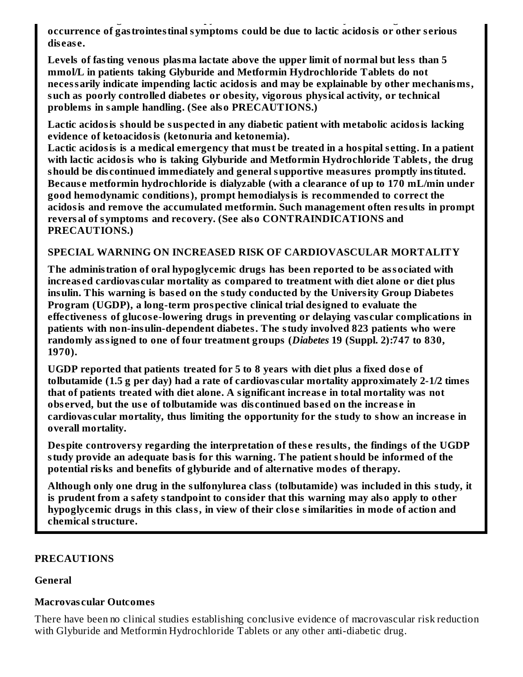**common during initiation of therapy with metformin, are unlikely to be drug related. Later occurrence of gastrointestinal symptoms could be due to lactic acidosis or other s erious dis eas e.**

**Levels of fasting venous plasma lactate above the upper limit of normal but less than 5 mmol/L in patients taking Glyburide and Metformin Hydrochloride Tablets do not necessarily indicate impending lactic acidosis and may be explainable by other mechanisms, such as poorly controlled diabetes or obesity, vigorous physical activity, or technical problems in sample handling. (See also PRECAUTIONS.)**

**Lactic acidosis should be suspected in any diabetic patient with metabolic acidosis lacking evidence of ketoacidosis (ketonuria and ketonemia).**

**Lactic acidosis is a medical emergency that must be treated in a hospital s etting. In a patient with lactic acidosis who is taking Glyburide and Metformin Hydrochloride Tablets, the drug should be dis continued immediately and general supportive measures promptly instituted. Becaus e metformin hydrochloride is dialyzable (with a clearance of up to 170 mL/min under good hemodynamic conditions), prompt hemodialysis is recommended to correct the acidosis and remove the accumulated metformin. Such management often results in prompt reversal of symptoms and recovery. (See also CONTRAINDICATIONS and PRECAUTIONS.)**

### **SPECIAL WARNING ON INCREASED RISK OF CARDIOVASCULAR MORTALITY**

**The administration of oral hypoglycemic drugs has been reported to be associated with increas ed cardiovas cular mortality as compared to treatment with diet alone or diet plus insulin. This warning is bas ed on the study conducted by the University Group Diabetes Program (UGDP), a long-term prospective clinical trial designed to evaluate the effectiveness of glucos e-lowering drugs in preventing or delaying vas cular complications in patients with non-insulin-dependent diabetes. The study involved 823 patients who were randomly assigned to one of four treatment groups (***Diabetes* **19 (Suppl. 2):747 to 830, 1970).**

**UGDP reported that patients treated for 5 to 8 years with diet plus a fixed dos e of tolbutamide (1.5 g per day) had a rate of cardiovas cular mortality approximately 2-1/2 times that of patients treated with diet alone. A significant increas e in total mortality was not obs erved, but the us e of tolbutamide was dis continued bas ed on the increas e in cardiovas cular mortality, thus limiting the opportunity for the study to show an increas e in overall mortality.**

**Despite controversy regarding the interpretation of thes e results, the findings of the UGDP study provide an adequate basis for this warning. The patient should be informed of the potential risks and benefits of glyburide and of alternative modes of therapy.**

**Although only one drug in the sulfonylurea class (tolbutamide) was included in this study, it is prudent from a safety standpoint to consider that this warning may also apply to other hypoglycemic drugs in this class, in view of their clos e similarities in mode of action and chemical structure.**

### **PRECAUTIONS**

### **General**

### **Macrovas cular Outcomes**

There have been no clinical studies establishing conclusive evidence of macrovascular risk reduction with Glyburide and Metformin Hydrochloride Tablets or any other anti-diabetic drug.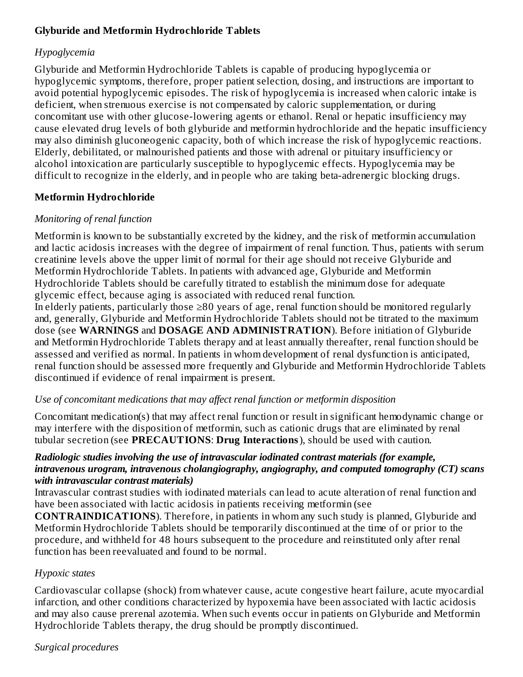## **Glyburide and Metformin Hydrochloride Tablets**

### *Hypoglycemia*

Glyburide and Metformin Hydrochloride Tablets is capable of producing hypoglycemia or hypoglycemic symptoms, therefore, proper patient selection, dosing, and instructions are important to avoid potential hypoglycemic episodes. The risk of hypoglycemia is increased when caloric intake is deficient, when strenuous exercise is not compensated by caloric supplementation, or during concomitant use with other glucose-lowering agents or ethanol. Renal or hepatic insufficiency may cause elevated drug levels of both glyburide and metformin hydrochloride and the hepatic insufficiency may also diminish gluconeogenic capacity, both of which increase the risk of hypoglycemic reactions. Elderly, debilitated, or malnourished patients and those with adrenal or pituitary insufficiency or alcohol intoxication are particularly susceptible to hypoglycemic effects. Hypoglycemia may be difficult to recognize in the elderly, and in people who are taking beta-adrenergic blocking drugs.

## **Metformin Hydrochloride**

### *Monitoring of renal function*

Metformin is known to be substantially excreted by the kidney, and the risk of metformin accumulation and lactic acidosis increases with the degree of impairment of renal function. Thus, patients with serum creatinine levels above the upper limit of normal for their age should not receive Glyburide and Metformin Hydrochloride Tablets. In patients with advanced age, Glyburide and Metformin Hydrochloride Tablets should be carefully titrated to establish the minimum dose for adequate glycemic effect, because aging is associated with reduced renal function.

In elderly patients, particularly those ≥80 years of age, renal function should be monitored regularly and, generally, Glyburide and Metformin Hydrochloride Tablets should not be titrated to the maximum dose (see **WARNINGS** and **DOSAGE AND ADMINISTRATION**). Before initiation of Glyburide and Metformin Hydrochloride Tablets therapy and at least annually thereafter, renal function should be assessed and verified as normal. In patients in whom development of renal dysfunction is anticipated, renal function should be assessed more frequently and Glyburide and Metformin Hydrochloride Tablets discontinued if evidence of renal impairment is present.

## *Use of concomitant medications that may affect renal function or metformin disposition*

Concomitant medication(s) that may affect renal function or result in significant hemodynamic change or may interfere with the disposition of metformin, such as cationic drugs that are eliminated by renal tubular secretion (see **PRECAUTIONS**: **Drug Interactions**), should be used with caution.

### *Radiologic studies involving the use of intravascular iodinated contrast materials (for example, intravenous urogram, intravenous cholangiography, angiography, and computed tomography (CT) scans with intravascular contrast materials)*

Intravascular contrast studies with iodinated materials can lead to acute alteration of renal function and have been associated with lactic acidosis in patients receiving metformin (see

**CONTRAINDICATIONS**). Therefore, in patients in whom any such study is planned, Glyburide and Metformin Hydrochloride Tablets should be temporarily discontinued at the time of or prior to the procedure, and withheld for 48 hours subsequent to the procedure and reinstituted only after renal function has been reevaluated and found to be normal.

### *Hypoxic states*

Cardiovascular collapse (shock) from whatever cause, acute congestive heart failure, acute myocardial infarction, and other conditions characterized by hypoxemia have been associated with lactic acidosis and may also cause prerenal azotemia. When such events occur in patients on Glyburide and Metformin Hydrochloride Tablets therapy, the drug should be promptly discontinued.

### *Surgical procedures*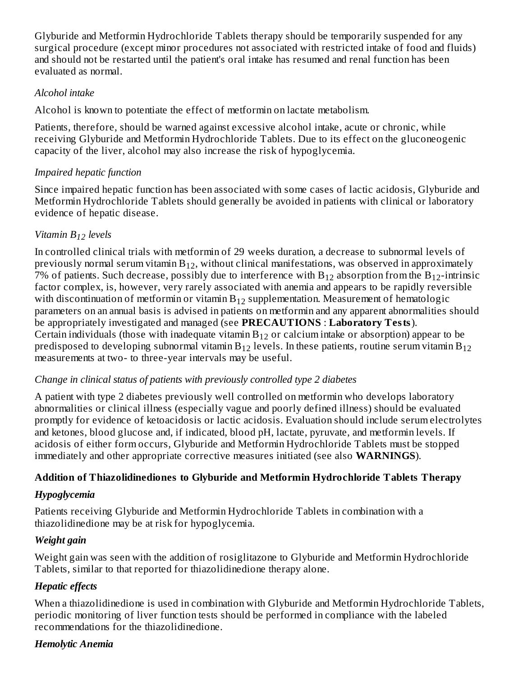Glyburide and Metformin Hydrochloride Tablets therapy should be temporarily suspended for any surgical procedure (except minor procedures not associated with restricted intake of food and fluids) and should not be restarted until the patient's oral intake has resumed and renal function has been evaluated as normal.

### *Alcohol intake*

Alcohol is known to potentiate the effect of metformin on lactate metabolism.

Patients, therefore, should be warned against excessive alcohol intake, acute or chronic, while receiving Glyburide and Metformin Hydrochloride Tablets. Due to its effect on the gluconeogenic capacity of the liver, alcohol may also increase the risk of hypoglycemia.

## *Impaired hepatic function*

Since impaired hepatic function has been associated with some cases of lactic acidosis, Glyburide and Metformin Hydrochloride Tablets should generally be avoided in patients with clinical or laboratory evidence of hepatic disease.

## *Vitamin B levels 12*

In controlled clinical trials with metformin of 29 weeks duration, a decrease to subnormal levels of previously normal serum vitamin  $\mathrm{B}_{12}$ , without clinical manifestations, was observed in approximately 7% of patients. Such decrease, possibly due to interference with  $B_{12}$  absorption from the  $B_{12}$ -intrinsic factor complex, is, however, very rarely associated with anemia and appears to be rapidly reversible with discontinuation of metformin or vitamin  $\rm B_{12}$  supplementation. Measurement of hematologic parameters on an annual basis is advised in patients on metformin and any apparent abnormalities should be appropriately investigated and managed (see **PRECAUTIONS** : **Laboratory Tests**). Certain individuals (those with inadequate vitamin  $B_{12}$  or calcium intake or absorption) appear to be predisposed to developing subnormal vitamin  $\hbox{B}_{12}$  levels. In these patients, routine serum vitamin  $\hbox{B}_{12}$ measurements at two- to three-year intervals may be useful.

## *Change in clinical status of patients with previously controlled type 2 diabetes*

A patient with type 2 diabetes previously well controlled on metformin who develops laboratory abnormalities or clinical illness (especially vague and poorly defined illness) should be evaluated promptly for evidence of ketoacidosis or lactic acidosis. Evaluation should include serum electrolytes and ketones, blood glucose and, if indicated, blood pH, lactate, pyruvate, and metformin levels. If acidosis of either form occurs, Glyburide and Metformin Hydrochloride Tablets must be stopped immediately and other appropriate corrective measures initiated (see also **WARNINGS**).

## **Addition of Thiazolidinediones to Glyburide and Metformin Hydrochloride Tablets Therapy**

## *Hypoglycemia*

Patients receiving Glyburide and Metformin Hydrochloride Tablets in combination with a thiazolidinedione may be at risk for hypoglycemia.

## *Weight gain*

Weight gain was seen with the addition of rosiglitazone to Glyburide and Metformin Hydrochloride Tablets, similar to that reported for thiazolidinedione therapy alone.

## *Hepatic effects*

When a thiazolidinedione is used in combination with Glyburide and Metformin Hydrochloride Tablets, periodic monitoring of liver function tests should be performed in compliance with the labeled recommendations for the thiazolidinedione.

## *Hemolytic Anemia*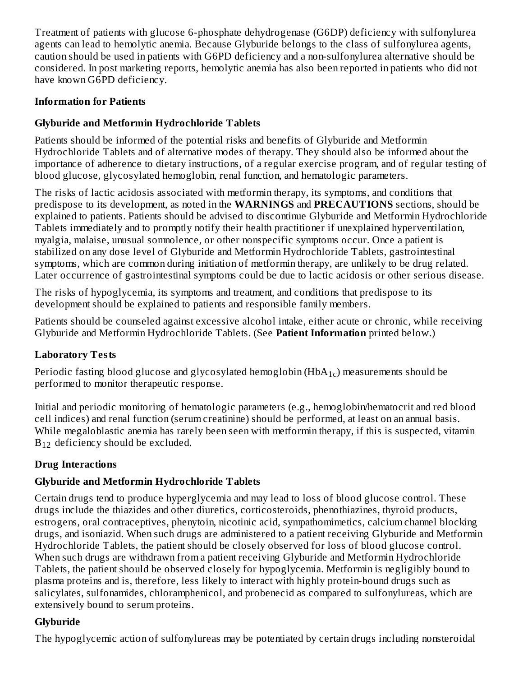Treatment of patients with glucose 6-phosphate dehydrogenase (G6DP) deficiency with sulfonylurea agents can lead to hemolytic anemia. Because Glyburide belongs to the class of sulfonylurea agents, caution should be used in patients with G6PD deficiency and a non-sulfonylurea alternative should be considered. In post marketing reports, hemolytic anemia has also been reported in patients who did not have known G6PD deficiency.

### **Information for Patients**

## **Glyburide and Metformin Hydrochloride Tablets**

Patients should be informed of the potential risks and benefits of Glyburide and Metformin Hydrochloride Tablets and of alternative modes of therapy. They should also be informed about the importance of adherence to dietary instructions, of a regular exercise program, and of regular testing of blood glucose, glycosylated hemoglobin, renal function, and hematologic parameters.

The risks of lactic acidosis associated with metformin therapy, its symptoms, and conditions that predispose to its development, as noted in the **WARNINGS** and **PRECAUTIONS** sections, should be explained to patients. Patients should be advised to discontinue Glyburide and Metformin Hydrochloride Tablets immediately and to promptly notify their health practitioner if unexplained hyperventilation, myalgia, malaise, unusual somnolence, or other nonspecific symptoms occur. Once a patient is stabilized on any dose level of Glyburide and Metformin Hydrochloride Tablets, gastrointestinal symptoms, which are common during initiation of metformin therapy, are unlikely to be drug related. Later occurrence of gastrointestinal symptoms could be due to lactic acidosis or other serious disease.

The risks of hypoglycemia, its symptoms and treatment, and conditions that predispose to its development should be explained to patients and responsible family members.

Patients should be counseled against excessive alcohol intake, either acute or chronic, while receiving Glyburide and Metformin Hydrochloride Tablets. (See **Patient Information** printed below.)

## **Laboratory Tests**

Periodic fasting blood glucose and glycosylated hemoglobin (HbA $_{\rm 1c})$  measurements should be performed to monitor therapeutic response.

Initial and periodic monitoring of hematologic parameters (e.g., hemoglobin/hematocrit and red blood cell indices) and renal function (serum creatinine) should be performed, at least on an annual basis. While megaloblastic anemia has rarely been seen with metformin therapy, if this is suspected, vitamin  $B_{12}$  deficiency should be excluded.

## **Drug Interactions**

## **Glyburide and Metformin Hydrochloride Tablets**

Certain drugs tend to produce hyperglycemia and may lead to loss of blood glucose control. These drugs include the thiazides and other diuretics, corticosteroids, phenothiazines, thyroid products, estrogens, oral contraceptives, phenytoin, nicotinic acid, sympathomimetics, calcium channel blocking drugs, and isoniazid. When such drugs are administered to a patient receiving Glyburide and Metformin Hydrochloride Tablets, the patient should be closely observed for loss of blood glucose control. When such drugs are withdrawn from a patient receiving Glyburide and Metformin Hydrochloride Tablets, the patient should be observed closely for hypoglycemia. Metformin is negligibly bound to plasma proteins and is, therefore, less likely to interact with highly protein-bound drugs such as salicylates, sulfonamides, chloramphenicol, and probenecid as compared to sulfonylureas, which are extensively bound to serum proteins.

## **Glyburide**

The hypoglycemic action of sulfonylureas may be potentiated by certain drugs including nonsteroidal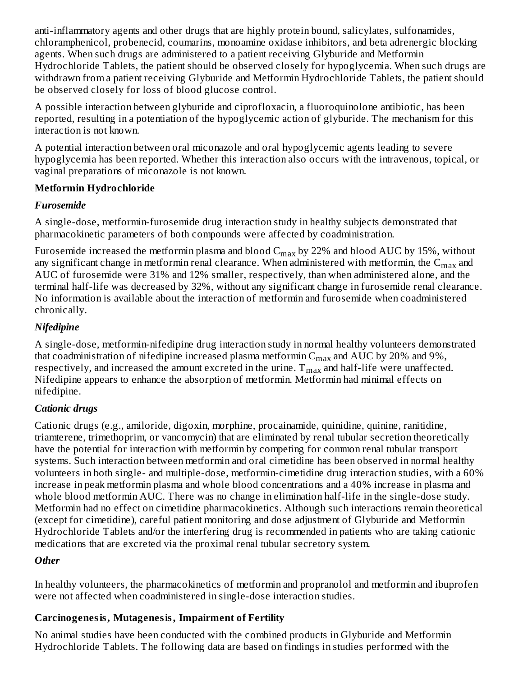anti-inflammatory agents and other drugs that are highly protein bound, salicylates, sulfonamides, chloramphenicol, probenecid, coumarins, monoamine oxidase inhibitors, and beta adrenergic blocking agents. When such drugs are administered to a patient receiving Glyburide and Metformin Hydrochloride Tablets, the patient should be observed closely for hypoglycemia. When such drugs are withdrawn from a patient receiving Glyburide and Metformin Hydrochloride Tablets, the patient should be observed closely for loss of blood glucose control.

A possible interaction between glyburide and ciprofloxacin, a fluoroquinolone antibiotic, has been reported, resulting in a potentiation of the hypoglycemic action of glyburide. The mechanism for this interaction is not known.

A potential interaction between oral miconazole and oral hypoglycemic agents leading to severe hypoglycemia has been reported. Whether this interaction also occurs with the intravenous, topical, or vaginal preparations of miconazole is not known.

## **Metformin Hydrochloride**

## *Furosemide*

A single-dose, metformin-furosemide drug interaction study in healthy subjects demonstrated that pharmacokinetic parameters of both compounds were affected by coadministration.

Furosemide increased the metformin plasma and blood  $\rm{C_{max}}$  by 22% and blood  $\rm{AUC}$  by 15%, without any significant change in metformin renal clearance. When administered with metformin, the  $\mathsf{C}_{\max}$  and AUC of furosemide were 31% and 12% smaller, respectively, than when administered alone, and the terminal half-life was decreased by 32%, without any significant change in furosemide renal clearance. No information is available about the interaction of metformin and furosemide when coadministered chronically.

## *Nifedipine*

A single-dose, metformin-nifedipine drug interaction study in normal healthy volunteers demonstrated that coadministration of nifedipine increased plasma metformin  $\mathsf{C}_{\max}$  and  $\mathrm{AUC}$  by 20% and 9%, respectively, and increased the amount excreted in the urine.  $\rm T_{max}$  and half-life were unaffected. Nifedipine appears to enhance the absorption of metformin. Metformin had minimal effects on nifedipine.

## *Cationic drugs*

Cationic drugs (e.g., amiloride, digoxin, morphine, procainamide, quinidine, quinine, ranitidine, triamterene, trimethoprim, or vancomycin) that are eliminated by renal tubular secretion theoretically have the potential for interaction with metformin by competing for common renal tubular transport systems. Such interaction between metformin and oral cimetidine has been observed in normal healthy volunteers in both single- and multiple-dose, metformin-cimetidine drug interaction studies, with a 60% increase in peak metformin plasma and whole blood concentrations and a 40% increase in plasma and whole blood metformin AUC. There was no change in elimination half-life in the single-dose study. Metformin had no effect on cimetidine pharmacokinetics. Although such interactions remain theoretical (except for cimetidine), careful patient monitoring and dose adjustment of Glyburide and Metformin Hydrochloride Tablets and/or the interfering drug is recommended in patients who are taking cationic medications that are excreted via the proximal renal tubular secretory system.

## *Other*

In healthy volunteers, the pharmacokinetics of metformin and propranolol and metformin and ibuprofen were not affected when coadministered in single-dose interaction studies.

## **Carcinogenesis, Mutagenesis, Impairment of Fertility**

No animal studies have been conducted with the combined products in Glyburide and Metformin Hydrochloride Tablets. The following data are based on findings in studies performed with the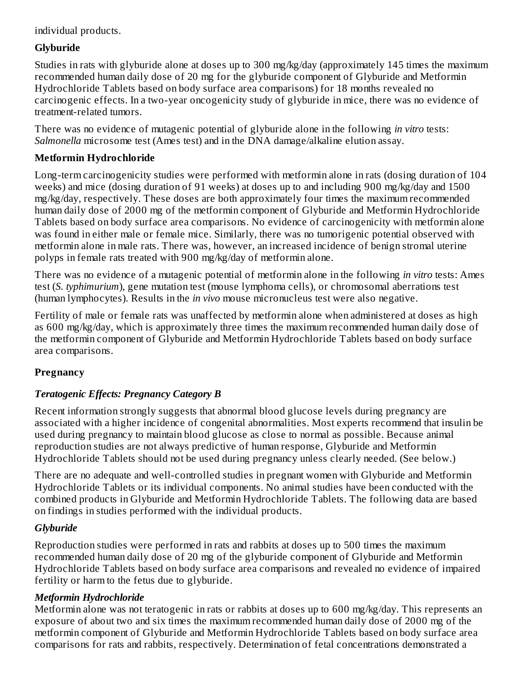### individual products.

## **Glyburide**

Studies in rats with glyburide alone at doses up to 300 mg/kg/day (approximately 145 times the maximum recommended human daily dose of 20 mg for the glyburide component of Glyburide and Metformin Hydrochloride Tablets based on body surface area comparisons) for 18 months revealed no carcinogenic effects. In a two-year oncogenicity study of glyburide in mice, there was no evidence of treatment-related tumors.

There was no evidence of mutagenic potential of glyburide alone in the following *in vitro* tests: *Salmonella* microsome test (Ames test) and in the DNA damage/alkaline elution assay.

## **Metformin Hydrochloride**

Long-term carcinogenicity studies were performed with metformin alone in rats (dosing duration of 104 weeks) and mice (dosing duration of 91 weeks) at doses up to and including 900 mg/kg/day and 1500 mg/kg/day, respectively. These doses are both approximately four times the maximum recommended human daily dose of 2000 mg of the metformin component of Glyburide and Metformin Hydrochloride Tablets based on body surface area comparisons. No evidence of carcinogenicity with metformin alone was found in either male or female mice. Similarly, there was no tumorigenic potential observed with metformin alone in male rats. There was, however, an increased incidence of benign stromal uterine polyps in female rats treated with 900 mg/kg/day of metformin alone.

There was no evidence of a mutagenic potential of metformin alone in the following *in vitro* tests: Ames test (*S. typhimurium*), gene mutation test (mouse lymphoma cells), or chromosomal aberrations test (human lymphocytes). Results in the *in vivo* mouse micronucleus test were also negative.

Fertility of male or female rats was unaffected by metformin alone when administered at doses as high as 600 mg/kg/day, which is approximately three times the maximum recommended human daily dose of the metformin component of Glyburide and Metformin Hydrochloride Tablets based on body surface area comparisons.

## **Pregnancy**

## *Teratogenic Effects: Pregnancy Category B*

Recent information strongly suggests that abnormal blood glucose levels during pregnancy are associated with a higher incidence of congenital abnormalities. Most experts recommend that insulin be used during pregnancy to maintain blood glucose as close to normal as possible. Because animal reproduction studies are not always predictive of human response, Glyburide and Metformin Hydrochloride Tablets should not be used during pregnancy unless clearly needed. (See below.)

There are no adequate and well-controlled studies in pregnant women with Glyburide and Metformin Hydrochloride Tablets or its individual components. No animal studies have been conducted with the combined products in Glyburide and Metformin Hydrochloride Tablets. The following data are based on findings in studies performed with the individual products.

## *Glyburide*

Reproduction studies were performed in rats and rabbits at doses up to 500 times the maximum recommended human daily dose of 20 mg of the glyburide component of Glyburide and Metformin Hydrochloride Tablets based on body surface area comparisons and revealed no evidence of impaired fertility or harm to the fetus due to glyburide.

## *Metformin Hydrochloride*

Metformin alone was not teratogenic in rats or rabbits at doses up to 600 mg/kg/day. This represents an exposure of about two and six times the maximum recommended human daily dose of 2000 mg of the metformin component of Glyburide and Metformin Hydrochloride Tablets based on body surface area comparisons for rats and rabbits, respectively. Determination of fetal concentrations demonstrated a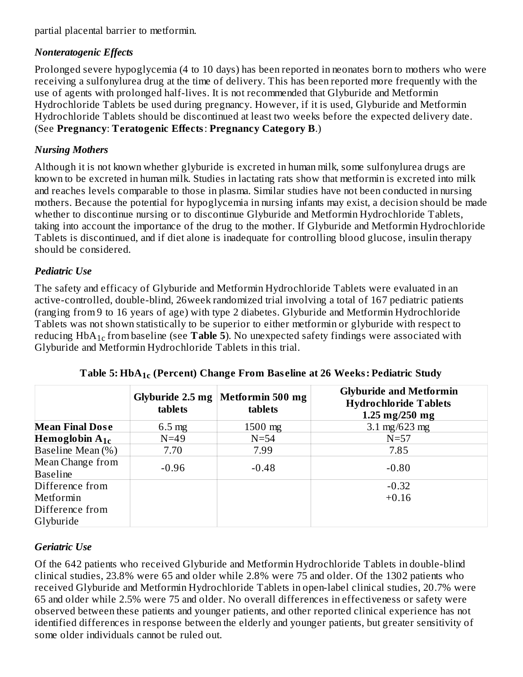partial placental barrier to metformin.

### *Nonteratogenic Effects*

Prolonged severe hypoglycemia (4 to 10 days) has been reported in neonates born to mothers who were receiving a sulfonylurea drug at the time of delivery. This has been reported more frequently with the use of agents with prolonged half-lives. It is not recommended that Glyburide and Metformin Hydrochloride Tablets be used during pregnancy. However, if it is used, Glyburide and Metformin Hydrochloride Tablets should be discontinued at least two weeks before the expected delivery date. (See **Pregnancy**: **Teratogenic Effects**: **Pregnancy Category B**.)

### *Nursing Mothers*

Although it is not known whether glyburide is excreted in human milk, some sulfonylurea drugs are known to be excreted in human milk. Studies in lactating rats show that metformin is excreted into milk and reaches levels comparable to those in plasma. Similar studies have not been conducted in nursing mothers. Because the potential for hypoglycemia in nursing infants may exist, a decision should be made whether to discontinue nursing or to discontinue Glyburide and Metformin Hydrochloride Tablets, taking into account the importance of the drug to the mother. If Glyburide and Metformin Hydrochloride Tablets is discontinued, and if diet alone is inadequate for controlling blood glucose, insulin therapy should be considered.

### *Pediatric Use*

The safety and efficacy of Glyburide and Metformin Hydrochloride Tablets were evaluated in an active-controlled, double-blind, 26week randomized trial involving a total of 167 pediatric patients (ranging from 9 to 16 years of age) with type 2 diabetes. Glyburide and Metformin Hydrochloride Tablets was not shown statistically to be superior to either metformin or glyburide with respect to reducing  $HbA_{1c}$  from baseline (see  ${\bf Table\ 5}$ ). No unexpected safety findings were associated with Glyburide and Metformin Hydrochloride Tablets in this trial.

|                                                 | Glyburide $2.5$ mg $ $<br>tablets | Metformin 500 mg<br>tablets | <b>Glyburide and Metformin</b><br><b>Hydrochloride Tablets</b><br>1.25 $mg/250$ mg |
|-------------------------------------------------|-----------------------------------|-----------------------------|------------------------------------------------------------------------------------|
| <b>Mean Final Dose</b>                          | $6.5 \text{ mg}$                  | $1500$ mg                   | 3.1 $mg/623$ mg                                                                    |
| Hemoglobin $A_{1c}$                             | $N=49$                            | $N=54$                      | $N=57$                                                                             |
| Baseline Mean (%)                               | 7.70                              | 7.99                        | 7.85                                                                               |
| Mean Change from<br><b>Baseline</b>             | $-0.96$                           | $-0.48$                     | $-0.80$                                                                            |
| Difference from<br>Metformin<br>Difference from |                                   |                             | $-0.32$<br>$+0.16$                                                                 |
| Glyburide                                       |                                   |                             |                                                                                    |

**Table 5: HbA (Percent) Change From Bas eline at 26 Weeks: Pediatric Study 1c**

### *Geriatric Use*

Of the 642 patients who received Glyburide and Metformin Hydrochloride Tablets in double-blind clinical studies, 23.8% were 65 and older while 2.8% were 75 and older. Of the 1302 patients who received Glyburide and Metformin Hydrochloride Tablets in open-label clinical studies, 20.7% were 65 and older while 2.5% were 75 and older. No overall differences in effectiveness or safety were observed between these patients and younger patients, and other reported clinical experience has not identified differences in response between the elderly and younger patients, but greater sensitivity of some older individuals cannot be ruled out.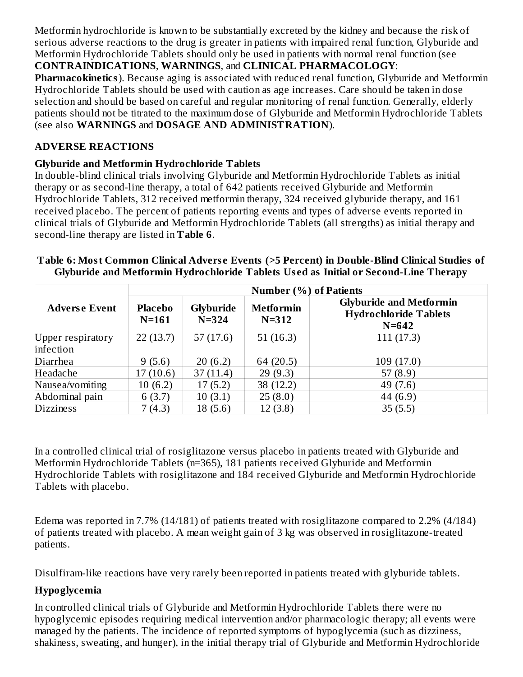Metformin hydrochloride is known to be substantially excreted by the kidney and because the risk of serious adverse reactions to the drug is greater in patients with impaired renal function, Glyburide and Metformin Hydrochloride Tablets should only be used in patients with normal renal function (see **CONTRAINDICATIONS**, **WARNINGS**, and **CLINICAL PHARMACOLOGY**:

**Pharmacokinetics**). Because aging is associated with reduced renal function, Glyburide and Metformin Hydrochloride Tablets should be used with caution as age increases. Care should be taken in dose selection and should be based on careful and regular monitoring of renal function. Generally, elderly patients should not be titrated to the maximum dose of Glyburide and Metformin Hydrochloride Tablets (see also **WARNINGS** and **DOSAGE AND ADMINISTRATION**).

### **ADVERSE REACTIONS**

### **Glyburide and Metformin Hydrochloride Tablets**

In double-blind clinical trials involving Glyburide and Metformin Hydrochloride Tablets as initial therapy or as second-line therapy, a total of 642 patients received Glyburide and Metformin Hydrochloride Tablets, 312 received metformin therapy, 324 received glyburide therapy, and 161 received placebo. The percent of patients reporting events and types of adverse events reported in clinical trials of Glyburide and Metformin Hydrochloride Tablets (all strengths) as initial therapy and second-line therapy are listed in **Table 6**.

|                      | <b>Number (%) of Patients</b> |                        |                               |                                                                             |  |  |  |  |
|----------------------|-------------------------------|------------------------|-------------------------------|-----------------------------------------------------------------------------|--|--|--|--|
| <b>Adverse Event</b> | <b>Placebo</b><br>$N=161$     | Glyburide<br>$N = 324$ | <b>Metformin</b><br>$N = 312$ | <b>Glyburide and Metformin</b><br><b>Hydrochloride Tablets</b><br>$N = 642$ |  |  |  |  |
| Upper respiratory    | 22(13.7)                      | 57(17.6)               | 51(16.3)                      | 111(17.3)                                                                   |  |  |  |  |
| infection            |                               |                        |                               |                                                                             |  |  |  |  |
| Diarrhea             | 9(5.6)                        | 20(6.2)                | 64 (20.5)                     | 109(17.0)                                                                   |  |  |  |  |
| Headache             | 17(10.6)                      | 37(11.4)               | 29(9.3)                       | 57 $(8.9)$                                                                  |  |  |  |  |
| Nausea/vomiting      | 10(6.2)                       | 17(5.2)                | 38 (12.2)                     | 49 (7.6)                                                                    |  |  |  |  |
| Abdominal pain       | 6(3.7)                        | 10(3.1)                | 25(8.0)                       | 44 $(6.9)$                                                                  |  |  |  |  |
| <b>Dizziness</b>     | 7(4.3)                        | 18(5.6)                | 12(3.8)                       | 35(5.5)                                                                     |  |  |  |  |

### **Table 6: Most Common Clinical Advers e Events (>5 Percent) in Double-Blind Clinical Studies of Glyburide and Metformin Hydrochloride Tablets Us ed as Initial or Second-Line Therapy**

In a controlled clinical trial of rosiglitazone versus placebo in patients treated with Glyburide and Metformin Hydrochloride Tablets (n=365), 181 patients received Glyburide and Metformin Hydrochloride Tablets with rosiglitazone and 184 received Glyburide and Metformin Hydrochloride Tablets with placebo.

Edema was reported in 7.7% (14/181) of patients treated with rosiglitazone compared to 2.2% (4/184) of patients treated with placebo. A mean weight gain of 3 kg was observed in rosiglitazone-treated patients.

Disulfiram-like reactions have very rarely been reported in patients treated with glyburide tablets.

## **Hypoglycemia**

In controlled clinical trials of Glyburide and Metformin Hydrochloride Tablets there were no hypoglycemic episodes requiring medical intervention and/or pharmacologic therapy; all events were managed by the patients. The incidence of reported symptoms of hypoglycemia (such as dizziness, shakiness, sweating, and hunger), in the initial therapy trial of Glyburide and Metformin Hydrochloride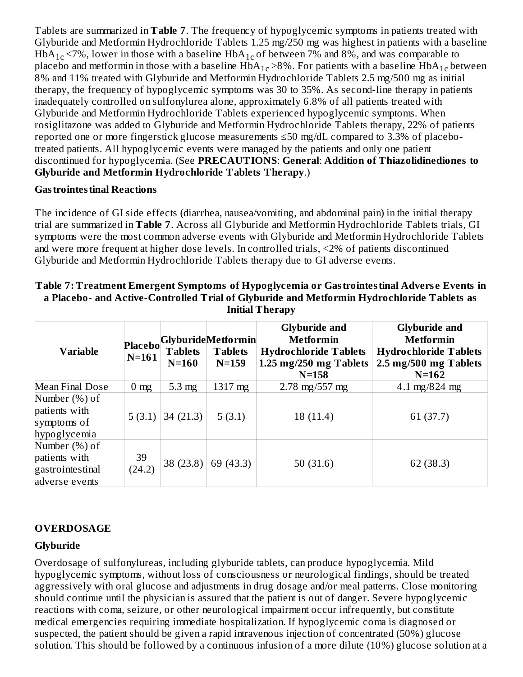Tablets are summarized in **Table 7**. The frequency of hypoglycemic symptoms in patients treated with Glyburide and Metformin Hydrochloride Tablets 1.25 mg/250 mg was highest in patients with a baseline HbA $_{\rm 1c}$  <7%, lower in those with a baseline HbA $_{\rm 1c}$  of between 7% and 8%, and was comparable to placebo and metformin in those with a baseline  $H\bar{b}A_{1c}$  >8%. For patients with a baseline  $H\bar{b}A_{1c}$  between 8% and 11% treated with Glyburide and Metformin Hydrochloride Tablets 2.5 mg/500 mg as initial therapy, the frequency of hypoglycemic symptoms was 30 to 35%. As second-line therapy in patients inadequately controlled on sulfonylurea alone, approximately 6.8% of all patients treated with Glyburide and Metformin Hydrochloride Tablets experienced hypoglycemic symptoms. When rosiglitazone was added to Glyburide and Metformin Hydrochloride Tablets therapy, 22% of patients reported one or more fingerstick glucose measurements ≤50 mg/dL compared to 3.3% of placebotreated patients. All hypoglycemic events were managed by the patients and only one patient discontinued for hypoglycemia. (See **PRECAUTIONS**: **General**: **Addition of Thiazolidinediones to Glyburide and Metformin Hydrochloride Tablets Therapy**.)

### **Gastrointestinal Reactions**

The incidence of GI side effects (diarrhea, nausea/vomiting, and abdominal pain) in the initial therapy trial are summarized in **Table 7**. Across all Glyburide and Metformin Hydrochloride Tablets trials, GI symptoms were the most common adverse events with Glyburide and Metformin Hydrochloride Tablets and were more frequent at higher dose levels. In controlled trials, <2% of patients discontinued Glyburide and Metformin Hydrochloride Tablets therapy due to GI adverse events.

| <b>Variable</b>                                                      | $N=161$        | <b>Tablets</b><br>$N=160$ | Placebo Glyburide Metformin<br><b>Tablets</b><br>$N=159$ | <b>Glyburide and</b><br><b>Metformin</b><br><b>Hydrochloride Tablets</b><br>1.25 mg/250 mg Tablets<br>$N = 158$ | <b>Glyburide and</b><br><b>Metformin</b><br><b>Hydrochloride Tablets</b><br>2.5 mg/500 mg Tablets<br>$N = 162$ |  |  |
|----------------------------------------------------------------------|----------------|---------------------------|----------------------------------------------------------|-----------------------------------------------------------------------------------------------------------------|----------------------------------------------------------------------------------------------------------------|--|--|
| <b>Mean Final Dose</b>                                               | $0 \text{ mg}$ | $5.3 \text{ mg}$          | 1317 mg                                                  | $2.78 \text{ mg}/557 \text{ mg}$                                                                                | 4.1 mg/824 mg                                                                                                  |  |  |
| Number (%) of<br>patients with<br>symptoms of<br>hypoglycemia        | 5(3.1)         | 34(21.3)                  | 5(3.1)                                                   | 18 (11.4)                                                                                                       | 61 (37.7)                                                                                                      |  |  |
| Number (%) of<br>patients with<br>gastrointestinal<br>adverse events | 39<br>(24.2)   | 38 (23.8)                 | 69 (43.3)                                                | 50 $(31.6)$                                                                                                     | 62 (38.3)                                                                                                      |  |  |

### **Table 7: Treatment Emergent Symptoms of Hypoglycemia or Gastrointestinal Advers e Events in a Placebo- and Active-Controlled Trial of Glyburide and Metformin Hydrochloride Tablets as Initial Therapy**

## **OVERDOSAGE**

### **Glyburide**

Overdosage of sulfonylureas, including glyburide tablets, can produce hypoglycemia. Mild hypoglycemic symptoms, without loss of consciousness or neurological findings, should be treated aggressively with oral glucose and adjustments in drug dosage and/or meal patterns. Close monitoring should continue until the physician is assured that the patient is out of danger. Severe hypoglycemic reactions with coma, seizure, or other neurological impairment occur infrequently, but constitute medical emergencies requiring immediate hospitalization. If hypoglycemic coma is diagnosed or suspected, the patient should be given a rapid intravenous injection of concentrated (50%) glucose solution. This should be followed by a continuous infusion of a more dilute (10%) glucose solution at a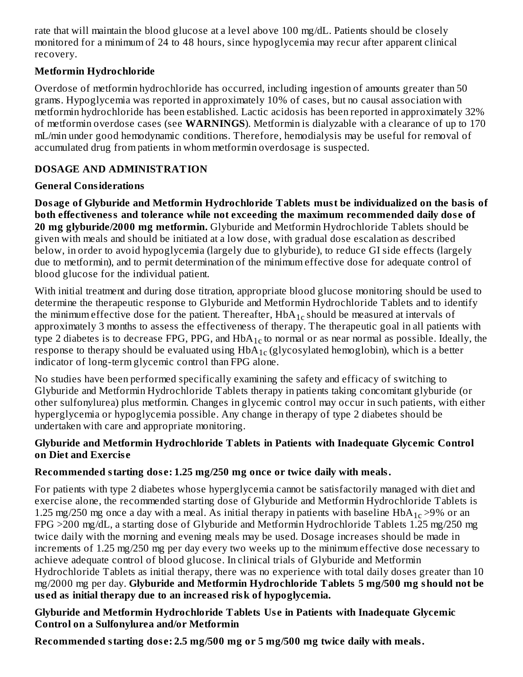rate that will maintain the blood glucose at a level above 100 mg/dL. Patients should be closely monitored for a minimum of 24 to 48 hours, since hypoglycemia may recur after apparent clinical recovery.

### **Metformin Hydrochloride**

Overdose of metformin hydrochloride has occurred, including ingestion of amounts greater than 50 grams. Hypoglycemia was reported in approximately 10% of cases, but no causal association with metformin hydrochloride has been established. Lactic acidosis has been reported in approximately 32% of metformin overdose cases (see **WARNINGS**). Metformin is dialyzable with a clearance of up to 170 mL/min under good hemodynamic conditions. Therefore, hemodialysis may be useful for removal of accumulated drug from patients in whom metformin overdosage is suspected.

## **DOSAGE AND ADMINISTRATION**

## **General Considerations**

**Dosage of Glyburide and Metformin Hydrochloride Tablets must be individualized on the basis of both effectiveness and tolerance while not exceeding the maximum recommended daily dos e of 20 mg glyburide/2000 mg metformin.** Glyburide and Metformin Hydrochloride Tablets should be given with meals and should be initiated at a low dose, with gradual dose escalation as described below, in order to avoid hypoglycemia (largely due to glyburide), to reduce GI side effects (largely due to metformin), and to permit determination of the minimum effective dose for adequate control of blood glucose for the individual patient.

With initial treatment and during dose titration, appropriate blood glucose monitoring should be used to determine the therapeutic response to Glyburide and Metformin Hydrochloride Tablets and to identify the minimum effective dose for the patient. Thereafter,  $\text{HbA}_{1 \text{c}}$  should be measured at intervals of approximately 3 months to assess the effectiveness of therapy. The therapeutic goal in all patients with type 2 diabetes is to decrease FPG, PPG, and  $HbA_{1c}$  to normal or as near normal as possible. Ideally, the response to therapy should be evaluated using  $H\bar{b}A_{1c}$  (glycosylated hemoglobin), which is a better indicator of long-term glycemic control than FPG alone.

No studies have been performed specifically examining the safety and efficacy of switching to Glyburide and Metformin Hydrochloride Tablets therapy in patients taking concomitant glyburide (or other sulfonylurea) plus metformin. Changes in glycemic control may occur in such patients, with either hyperglycemia or hypoglycemia possible. Any change in therapy of type 2 diabetes should be undertaken with care and appropriate monitoring.

### **Glyburide and Metformin Hydrochloride Tablets in Patients with Inadequate Glycemic Control on Diet and Exercis e**

## **Recommended starting dos e: 1.25 mg/250 mg once or twice daily with meals.**

For patients with type 2 diabetes whose hyperglycemia cannot be satisfactorily managed with diet and exercise alone, the recommended starting dose of Glyburide and Metformin Hydrochloride Tablets is 1.25 mg/250 mg once a day with a meal. As initial therapy in patients with baseline  $HbA_{1c}$  >9% or an FPG >200 mg/dL, a starting dose of Glyburide and Metformin Hydrochloride Tablets 1.25 mg/250 mg twice daily with the morning and evening meals may be used. Dosage increases should be made in increments of 1.25 mg/250 mg per day every two weeks up to the minimum effective dose necessary to achieve adequate control of blood glucose. In clinical trials of Glyburide and Metformin Hydrochloride Tablets as initial therapy, there was no experience with total daily doses greater than 10 mg/2000 mg per day. **Glyburide and Metformin Hydrochloride Tablets 5 mg/500 mg should not be us ed as initial therapy due to an increas ed risk of hypoglycemia.**

### **Glyburide and Metformin Hydrochloride Tablets Us e in Patients with Inadequate Glycemic Control on a Sulfonylurea and/or Metformin**

**Recommended starting dos e: 2.5 mg/500 mg or 5 mg/500 mg twice daily with meals.**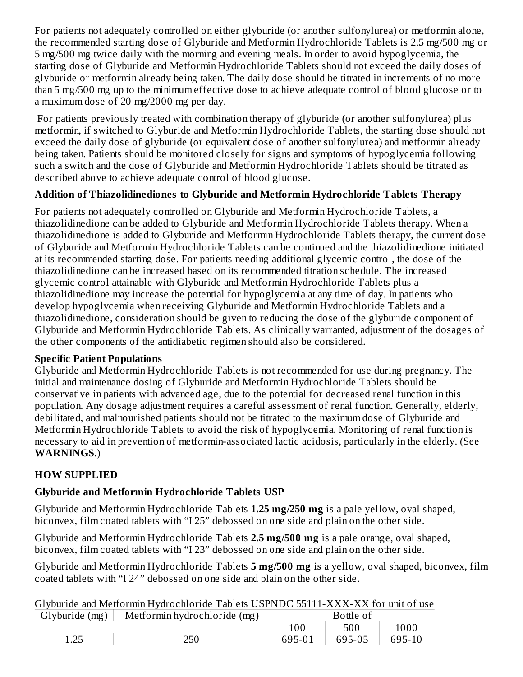For patients not adequately controlled on either glyburide (or another sulfonylurea) or metformin alone, the recommended starting dose of Glyburide and Metformin Hydrochloride Tablets is 2.5 mg/500 mg or 5 mg/500 mg twice daily with the morning and evening meals. In order to avoid hypoglycemia, the starting dose of Glyburide and Metformin Hydrochloride Tablets should not exceed the daily doses of glyburide or metformin already being taken. The daily dose should be titrated in increments of no more than 5 mg/500 mg up to the minimum effective dose to achieve adequate control of blood glucose or to a maximum dose of 20 mg/2000 mg per day.

For patients previously treated with combination therapy of glyburide (or another sulfonylurea) plus metformin, if switched to Glyburide and Metformin Hydrochloride Tablets, the starting dose should not exceed the daily dose of glyburide (or equivalent dose of another sulfonylurea) and metformin already being taken. Patients should be monitored closely for signs and symptoms of hypoglycemia following such a switch and the dose of Glyburide and Metformin Hydrochloride Tablets should be titrated as described above to achieve adequate control of blood glucose.

## **Addition of Thiazolidinediones to Glyburide and Metformin Hydrochloride Tablets Therapy**

For patients not adequately controlled on Glyburide and Metformin Hydrochloride Tablets, a thiazolidinedione can be added to Glyburide and Metformin Hydrochloride Tablets therapy. When a thiazolidinedione is added to Glyburide and Metformin Hydrochloride Tablets therapy, the current dose of Glyburide and Metformin Hydrochloride Tablets can be continued and the thiazolidinedione initiated at its recommended starting dose. For patients needing additional glycemic control, the dose of the thiazolidinedione can be increased based on its recommended titration schedule. The increased glycemic control attainable with Glyburide and Metformin Hydrochloride Tablets plus a thiazolidinedione may increase the potential for hypoglycemia at any time of day. In patients who develop hypoglycemia when receiving Glyburide and Metformin Hydrochloride Tablets and a thiazolidinedione, consideration should be given to reducing the dose of the glyburide component of Glyburide and Metformin Hydrochloride Tablets. As clinically warranted, adjustment of the dosages of the other components of the antidiabetic regimen should also be considered.

### **Specific Patient Populations**

Glyburide and Metformin Hydrochloride Tablets is not recommended for use during pregnancy. The initial and maintenance dosing of Glyburide and Metformin Hydrochloride Tablets should be conservative in patients with advanced age, due to the potential for decreased renal function in this population. Any dosage adjustment requires a careful assessment of renal function. Generally, elderly, debilitated, and malnourished patients should not be titrated to the maximum dose of Glyburide and Metformin Hydrochloride Tablets to avoid the risk of hypoglycemia. Monitoring of renal function is necessary to aid in prevention of metformin-associated lactic acidosis, particularly in the elderly. (See **WARNINGS**.)

## **HOW SUPPLIED**

### **Glyburide and Metformin Hydrochloride Tablets USP**

Glyburide and Metformin Hydrochloride Tablets **1.25 mg/250 mg** is a pale yellow, oval shaped, biconvex, film coated tablets with "I 25" debossed on one side and plain on the other side.

Glyburide and Metformin Hydrochloride Tablets **2.5 mg/500 mg** is a pale orange, oval shaped, biconvex, film coated tablets with "I 23" debossed on one side and plain on the other side.

Glyburide and Metformin Hydrochloride Tablets **5 mg/500 mg** is a yellow, oval shaped, biconvex, film coated tablets with "I 24" debossed on one side and plain on the other side.

|                | Glyburide and Metformin Hydrochloride Tablets USPNDC 55111-XXX-XX for unit of use |        |           |        |
|----------------|-----------------------------------------------------------------------------------|--------|-----------|--------|
| Glyburide (mg) | Metformin hydrochloride (mg)                                                      |        | Bottle of |        |
|                |                                                                                   | 100    | 500       | 1000   |
| 1.25           | 250                                                                               | 695-01 | 695-05    | 695-10 |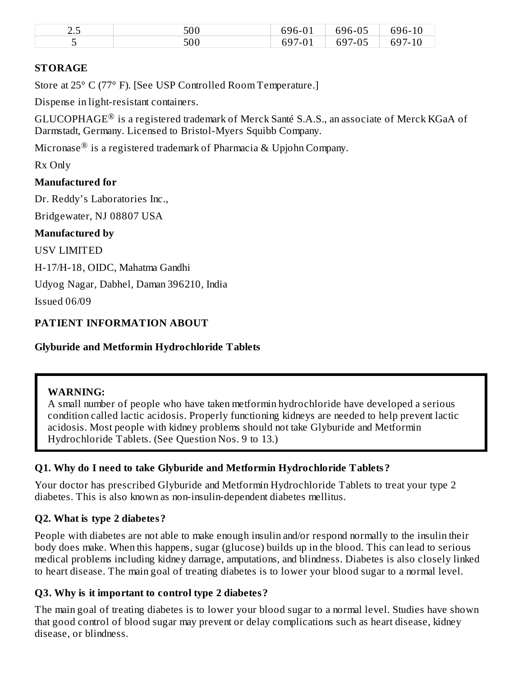| ~ -<br>ں ے | 500 | $\sim$ $\sim$<br>-696-         | $\sim$ $-$<br>$\sim$ $\sim$<br>∽чn-…<br>70 L | $\sim$ $\sim$<br>ี ฯһ-<br>U |
|------------|-----|--------------------------------|----------------------------------------------|-----------------------------|
|            | 500 | $\sim$ $\sim$<br>ь<br>- 1<br>- | 70 L                                         | $\sim$ $\sim$ $\sim$<br>აყ  |

### **STORAGE**

Store at 25° C (77° F). [See USP Controlled Room Temperature.]

Dispense in light-resistant containers.

GLUCOPHAGE $^{\circledR}$  is a registered trademark of Merck Santé S.A.S., an associate of Merck KGaA of Darmstadt, Germany. Licensed to Bristol-Myers Squibb Company.

Micronase $^\circledR$  is a registered trademark of Pharmacia & Upjohn Company.

Rx Only

### **Manufactured for**

Dr. Reddy's Laboratories Inc.,

Bridgewater, NJ 08807 USA

### **Manufactured by**

USV LIMITED

H-17/H-18, OIDC, Mahatma Gandhi

Udyog Nagar, Dabhel, Daman 396210, India

Issued 06/09

### **PATIENT INFORMATION ABOUT**

### **Glyburide and Metformin Hydrochloride Tablets**

### **WARNING:**

A small number of people who have taken metformin hydrochloride have developed a serious condition called lactic acidosis. Properly functioning kidneys are needed to help prevent lactic acidosis. Most people with kidney problems should not take Glyburide and Metformin Hydrochloride Tablets. (See Question Nos. 9 to 13.)

### **Q1. Why do I need to take Glyburide and Metformin Hydrochloride Tablets?**

Your doctor has prescribed Glyburide and Metformin Hydrochloride Tablets to treat your type 2 diabetes. This is also known as non-insulin-dependent diabetes mellitus.

### **Q2. What is type 2 diabetes?**

People with diabetes are not able to make enough insulin and/or respond normally to the insulin their body does make. When this happens, sugar (glucose) builds up in the blood. This can lead to serious medical problems including kidney damage, amputations, and blindness. Diabetes is also closely linked to heart disease. The main goal of treating diabetes is to lower your blood sugar to a normal level.

### **Q3. Why is it important to control type 2 diabetes?**

The main goal of treating diabetes is to lower your blood sugar to a normal level. Studies have shown that good control of blood sugar may prevent or delay complications such as heart disease, kidney disease, or blindness.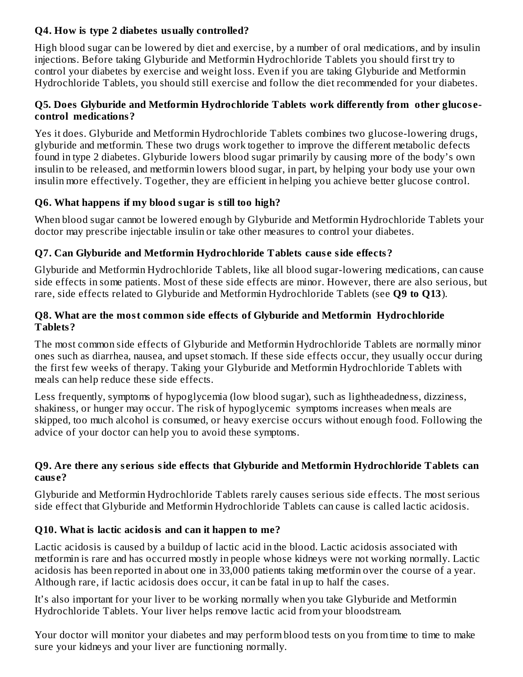### **Q4. How is type 2 diabetes usually controlled?**

High blood sugar can be lowered by diet and exercise, by a number of oral medications, and by insulin injections. Before taking Glyburide and Metformin Hydrochloride Tablets you should first try to control your diabetes by exercise and weight loss. Even if you are taking Glyburide and Metformin Hydrochloride Tablets, you should still exercise and follow the diet recommended for your diabetes.

### **Q5. Does Glyburide and Metformin Hydrochloride Tablets work differently from other glucos econtrol medications?**

Yes it does. Glyburide and Metformin Hydrochloride Tablets combines two glucose-lowering drugs, glyburide and metformin. These two drugs work together to improve the different metabolic defects found in type 2 diabetes. Glyburide lowers blood sugar primarily by causing more of the body's own insulin to be released, and metformin lowers blood sugar, in part, by helping your body use your own insulin more effectively. Together, they are efficient in helping you achieve better glucose control.

### **Q6. What happens if my blood sugar is still too high?**

When blood sugar cannot be lowered enough by Glyburide and Metformin Hydrochloride Tablets your doctor may prescribe injectable insulin or take other measures to control your diabetes.

## **Q7. Can Glyburide and Metformin Hydrochloride Tablets caus e side effects?**

Glyburide and Metformin Hydrochloride Tablets, like all blood sugar-lowering medications, can cause side effects in some patients. Most of these side effects are minor. However, there are also serious, but rare, side effects related to Glyburide and Metformin Hydrochloride Tablets (see **Q9 to Q13**).

### **Q8. What are the most common side effects of Glyburide and Metformin Hydrochloride Tablets?**

The most common side effects of Glyburide and Metformin Hydrochloride Tablets are normally minor ones such as diarrhea, nausea, and upset stomach. If these side effects occur, they usually occur during the first few weeks of therapy. Taking your Glyburide and Metformin Hydrochloride Tablets with meals can help reduce these side effects.

Less frequently, symptoms of hypoglycemia (low blood sugar), such as lightheadedness, dizziness, shakiness, or hunger may occur. The risk of hypoglycemic symptoms increases when meals are skipped, too much alcohol is consumed, or heavy exercise occurs without enough food. Following the advice of your doctor can help you to avoid these symptoms.

### **Q9. Are there any s erious side effects that Glyburide and Metformin Hydrochloride Tablets can caus e?**

Glyburide and Metformin Hydrochloride Tablets rarely causes serious side effects. The most serious side effect that Glyburide and Metformin Hydrochloride Tablets can cause is called lactic acidosis.

### **Q10. What is lactic acidosis and can it happen to me?**

Lactic acidosis is caused by a buildup of lactic acid in the blood. Lactic acidosis associated with metformin is rare and has occurred mostly in people whose kidneys were not working normally. Lactic acidosis has been reported in about one in 33,000 patients taking metformin over the course of a year. Although rare, if lactic acidosis does occur, it can be fatal in up to half the cases.

It's also important for your liver to be working normally when you take Glyburide and Metformin Hydrochloride Tablets. Your liver helps remove lactic acid from your bloodstream.

Your doctor will monitor your diabetes and may perform blood tests on you from time to time to make sure your kidneys and your liver are functioning normally.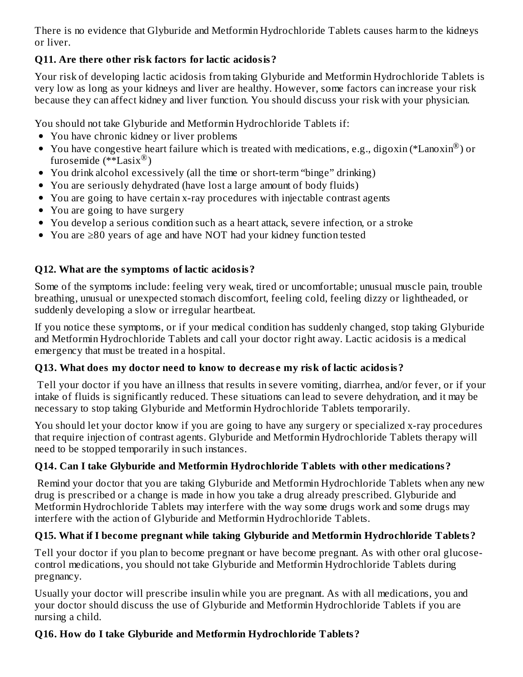There is no evidence that Glyburide and Metformin Hydrochloride Tablets causes harm to the kidneys or liver.

## **Q11. Are there other risk factors for lactic acidosis?**

Your risk of developing lactic acidosis from taking Glyburide and Metformin Hydrochloride Tablets is very low as long as your kidneys and liver are healthy. However, some factors can increase your risk because they can affect kidney and liver function. You should discuss your risk with your physician.

You should not take Glyburide and Metformin Hydrochloride Tablets if:

- You have chronic kidney or liver problems
- You have congestive heart failure which is treated with medications, e.g., digoxin (\*Lanoxin $^{\circledR}$ ) or furosemide  $(*\check$ Easix $^{\circledR})$
- You drink alcohol excessively (all the time or short-term "binge" drinking)
- You are seriously dehydrated (have lost a large amount of body fluids)
- You are going to have certain x-ray procedures with injectable contrast agents
- You are going to have surgery
- You develop a serious condition such as a heart attack, severe infection, or a stroke
- You are ≥80 years of age and have NOT had your kidney function tested

## **Q12. What are the symptoms of lactic acidosis?**

Some of the symptoms include: feeling very weak, tired or uncomfortable; unusual muscle pain, trouble breathing, unusual or unexpected stomach discomfort, feeling cold, feeling dizzy or lightheaded, or suddenly developing a slow or irregular heartbeat.

If you notice these symptoms, or if your medical condition has suddenly changed, stop taking Glyburide and Metformin Hydrochloride Tablets and call your doctor right away. Lactic acidosis is a medical emergency that must be treated in a hospital.

## **Q13. What does my doctor need to know to decreas e my risk of lactic acidosis?**

Tell your doctor if you have an illness that results in severe vomiting, diarrhea, and/or fever, or if your intake of fluids is significantly reduced. These situations can lead to severe dehydration, and it may be necessary to stop taking Glyburide and Metformin Hydrochloride Tablets temporarily.

You should let your doctor know if you are going to have any surgery or specialized x-ray procedures that require injection of contrast agents. Glyburide and Metformin Hydrochloride Tablets therapy will need to be stopped temporarily in such instances.

## **Q14. Can I take Glyburide and Metformin Hydrochloride Tablets with other medications?**

Remind your doctor that you are taking Glyburide and Metformin Hydrochloride Tablets when any new drug is prescribed or a change is made in how you take a drug already prescribed. Glyburide and Metformin Hydrochloride Tablets may interfere with the way some drugs work and some drugs may interfere with the action of Glyburide and Metformin Hydrochloride Tablets.

## **Q15. What if I become pregnant while taking Glyburide and Metformin Hydrochloride Tablets?**

Tell your doctor if you plan to become pregnant or have become pregnant. As with other oral glucosecontrol medications, you should not take Glyburide and Metformin Hydrochloride Tablets during pregnancy.

Usually your doctor will prescribe insulin while you are pregnant. As with all medications, you and your doctor should discuss the use of Glyburide and Metformin Hydrochloride Tablets if you are nursing a child.

## **Q16. How do I take Glyburide and Metformin Hydrochloride Tablets?**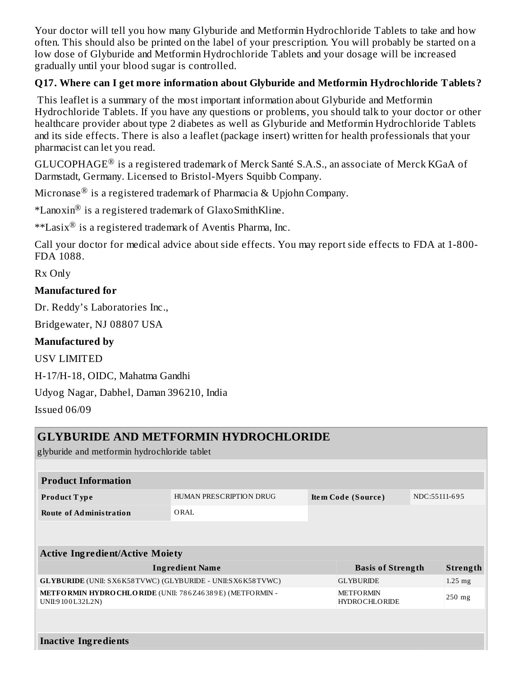Your doctor will tell you how many Glyburide and Metformin Hydrochloride Tablets to take and how often. This should also be printed on the label of your prescription. You will probably be started on a low dose of Glyburide and Metformin Hydrochloride Tablets and your dosage will be increased gradually until your blood sugar is controlled.

### **Q17. Where can I get more information about Glyburide and Metformin Hydrochloride Tablets?**

This leaflet is a summary of the most important information about Glyburide and Metformin Hydrochloride Tablets. If you have any questions or problems, you should talk to your doctor or other healthcare provider about type 2 diabetes as well as Glyburide and Metformin Hydrochloride Tablets and its side effects. There is also a leaflet (package insert) written for health professionals that your pharmacist can let you read.

GLUCOPHAGE $^{\circledR}$  is a registered trademark of Merck Santé S.A.S., an associate of Merck KGaA of Darmstadt, Germany. Licensed to Bristol-Myers Squibb Company.

Micronase $^\circledR$  is a registered trademark of Pharmacia & Upjohn Company.

\*Lanoxin $^{\circledR}$  is a registered trademark of GlaxoSmithKline.

 $*$ \*Lasix $^{\circledR}$  is a registered trademark of Aventis Pharma, Inc.

Call your doctor for medical advice about side effects. You may report side effects to FDA at 1-800- FDA 1088.

Rx Only

### **Manufactured for**

Dr. Reddy's Laboratories Inc.,

Bridgewater, NJ 08807 USA

### **Manufactured by**

USV LIMITED

H-17/H-18, OIDC, Mahatma Gandhi

Udyog Nagar, Dabhel, Daman 396210, India

Issued 06/09

|                                                                              | <b>GLYBURIDE AND METFORMIN HYDROCHLORIDE</b> |                                          |               |           |
|------------------------------------------------------------------------------|----------------------------------------------|------------------------------------------|---------------|-----------|
| glyburide and metformin hydrochloride tablet                                 |                                              |                                          |               |           |
|                                                                              |                                              |                                          |               |           |
| <b>Product Information</b>                                                   |                                              |                                          |               |           |
| Product Type                                                                 | HUMAN PRESCRIPTION DRUG                      | Item Code (Source)                       | NDC:55111-695 |           |
| <b>Route of Administration</b>                                               | ORAL                                         |                                          |               |           |
|                                                                              |                                              |                                          |               |           |
|                                                                              |                                              |                                          |               |           |
| <b>Active Ingredient/Active Moiety</b>                                       |                                              |                                          |               |           |
|                                                                              | <b>Ingredient Name</b>                       | <b>Basis of Strength</b>                 |               | Strength  |
| <b>GLYBURIDE</b> (UNII: SX6K58TVWC) (GLYBURIDE - UNII:SX6K58TVWC)            |                                              | <b>GLYBURIDE</b>                         |               | $1.25$ mg |
| METFORMIN HYDRO CHLORIDE (UNII: 786Z46389E) (METFORMIN -<br>UNII:9100L32L2N) |                                              | <b>METFORMIN</b><br><b>HYDROCHLORIDE</b> |               | $250$ mg  |
|                                                                              |                                              |                                          |               |           |
|                                                                              |                                              |                                          |               |           |
| <b>Inactive Ingredients</b>                                                  |                                              |                                          |               |           |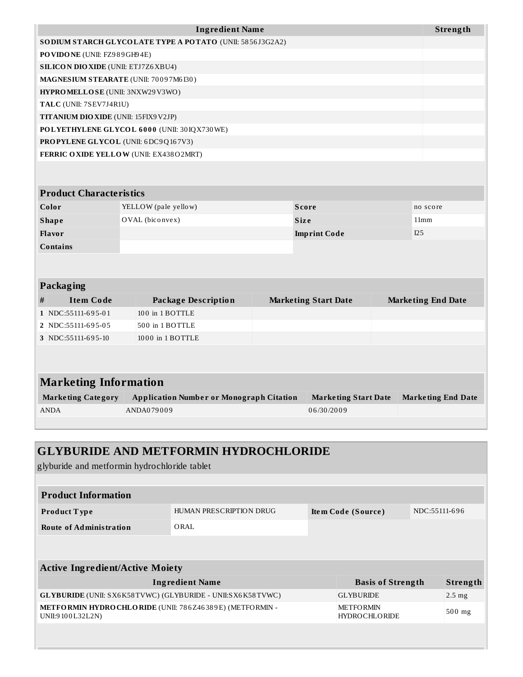|                                             | <b>Ingredient Name</b>                                    |                             | Strength                  |
|---------------------------------------------|-----------------------------------------------------------|-----------------------------|---------------------------|
|                                             | SO DIUM STARCH GLYCOLATE TYPE A POTATO (UNII: 5856J3G2A2) |                             |                           |
| PO VIDO NE (UNII: FZ989GH94E)               |                                                           |                             |                           |
| <b>SILICON DIO XIDE (UNII: ETJ7Z6 XBU4)</b> |                                                           |                             |                           |
| MAGNESIUM STEARATE (UNII: 70097M6I30)       |                                                           |                             |                           |
| HYPROMELLOSE (UNII: 3NXW29V3WO)             |                                                           |                             |                           |
| TALC (UNII: 7SEV7J4R1U)                     |                                                           |                             |                           |
| TITANIUM DIO XIDE (UNII: 15FIX9 V2JP)       |                                                           |                             |                           |
|                                             | POLYETHYLENE GLYCOL 6000 (UNII: 30IQX730WE)               |                             |                           |
| <b>PROPYLENE GLYCOL (UNII: 6DC9Q167V3)</b>  |                                                           |                             |                           |
|                                             | FERRIC OXIDE YELLOW (UNII: EX438O2MRT)                    |                             |                           |
|                                             |                                                           |                             |                           |
|                                             |                                                           |                             |                           |
| <b>Product Characteristics</b>              |                                                           |                             |                           |
| Color                                       | YELLOW (pale yellow)                                      | <b>Score</b>                | no score                  |
| <b>Shape</b>                                | OVAL (biconvex)                                           | <b>Size</b>                 | 11mm                      |
| <b>Flavor</b>                               |                                                           | <b>Imprint Code</b>         | I25                       |
| Contains                                    |                                                           |                             |                           |
|                                             |                                                           |                             |                           |
|                                             |                                                           |                             |                           |
| Packaging                                   |                                                           |                             |                           |
| <b>Item Code</b><br>#                       | <b>Package Description</b>                                | <b>Marketing Start Date</b> | <b>Marketing End Date</b> |
| 1 NDC:55111-695-01                          | 100 in 1 BOTTLE                                           |                             |                           |
| 2 NDC:55111-695-05                          | 500 in 1 BOTTLE                                           |                             |                           |
| 3 NDC:55111-695-10                          | 1000 in 1 BOTTLE                                          |                             |                           |
|                                             |                                                           |                             |                           |
|                                             |                                                           |                             |                           |
| <b>Marketing Information</b>                |                                                           |                             |                           |
| <b>Marketing Category</b>                   | <b>Application Number or Monograph Citation</b>           | <b>Marketing Start Date</b> | <b>Marketing End Date</b> |
| <b>ANDA</b>                                 | ANDA079009                                                | 06/30/2009                  |                           |
|                                             |                                                           |                             |                           |

| <b>GLYBURIDE AND METFORMIN HYDROCHLORIDE</b><br>glyburide and metformin hydrochloride tablet |                         |  |                                          |               |          |  |
|----------------------------------------------------------------------------------------------|-------------------------|--|------------------------------------------|---------------|----------|--|
|                                                                                              |                         |  |                                          |               |          |  |
| <b>Product Information</b>                                                                   |                         |  |                                          |               |          |  |
| Product Type                                                                                 | HUMAN PRESCRIPTION DRUG |  | Item Code (Source)                       | NDC:55111-696 |          |  |
| <b>Route of Administration</b>                                                               | ORAL                    |  |                                          |               |          |  |
|                                                                                              |                         |  |                                          |               |          |  |
|                                                                                              |                         |  |                                          |               |          |  |
| <b>Active Ingredient/Active Moiety</b>                                                       |                         |  |                                          |               |          |  |
|                                                                                              | <b>Ingredient Name</b>  |  | <b>Basis of Strength</b>                 |               | Strength |  |
| <b>GLYBURIDE</b> (UNII: SX6K58TVWC) (GLYBURIDE - UNII:SX6K58TVWC)                            |                         |  | <b>GLYBURIDE</b>                         |               | $2.5$ mg |  |
| METFORMIN HYDRO CHLORIDE (UNII: 786Z46389E) (METFORMIN -<br>UNII:9100L32L2N)                 |                         |  | <b>METFORMIN</b><br><b>HYDROCHLORIDE</b> |               | 500 mg   |  |
|                                                                                              |                         |  |                                          |               |          |  |
|                                                                                              |                         |  |                                          |               |          |  |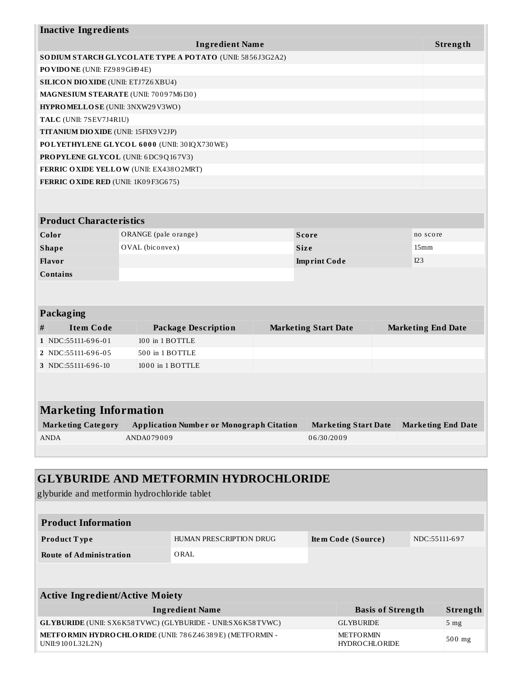| <b>Inactive Ingredients</b>                  |                                                          |                             |                           |                           |  |
|----------------------------------------------|----------------------------------------------------------|-----------------------------|---------------------------|---------------------------|--|
|                                              | <b>Ingredient Name</b>                                   |                             |                           | Strength                  |  |
|                                              | SODIUM STARCH GLYCOLATE TYPE A POTATO (UNII: 5856J3G2A2) |                             |                           |                           |  |
| PO VIDO NE (UNII: FZ989GH94E)                |                                                          |                             |                           |                           |  |
| <b>SILICON DIO XIDE</b> (UNII: ETJ7Z6 XBU4)  |                                                          |                             |                           |                           |  |
| MAGNESIUM STEARATE (UNII: 70097M6130)        |                                                          |                             |                           |                           |  |
| HYPROMELLOSE (UNII: 3NXW29V3WO)              |                                                          |                             |                           |                           |  |
| TALC (UNII: 7SEV7J4R1U)                      |                                                          |                             |                           |                           |  |
| <b>TITANIUM DIO XIDE</b> (UNII: 15FIX9 V2JP) |                                                          |                             |                           |                           |  |
|                                              | POLYETHYLENE GLYCOL 6000 (UNII: 30IQX730WE)              |                             |                           |                           |  |
| <b>PROPYLENE GLYCOL</b> (UNII: 6DC9Q167V3)   |                                                          |                             |                           |                           |  |
|                                              | <b>FERRIC OXIDE YELLOW (UNII: EX438O2MRT)</b>            |                             |                           |                           |  |
| <b>FERRIC OXIDE RED (UNII: 1K09F3G675)</b>   |                                                          |                             |                           |                           |  |
|                                              |                                                          |                             |                           |                           |  |
|                                              |                                                          |                             |                           |                           |  |
| <b>Product Characteristics</b>               |                                                          |                             |                           |                           |  |
| Color                                        | ORANGE (pale orange)                                     | <b>Score</b>                |                           | no score                  |  |
| <b>Shape</b>                                 | OVAL (biconvex)                                          | <b>Size</b>                 |                           | 15 <sub>mm</sub>          |  |
| <b>Flavor</b>                                |                                                          | I23<br><b>Imprint Code</b>  |                           |                           |  |
| <b>Contains</b>                              |                                                          |                             |                           |                           |  |
|                                              |                                                          |                             |                           |                           |  |
|                                              |                                                          |                             |                           |                           |  |
| Packaging                                    |                                                          |                             |                           |                           |  |
| <b>Item Code</b><br>#                        | <b>Package Description</b>                               | <b>Marketing Start Date</b> |                           | <b>Marketing End Date</b> |  |
| 1 NDC:55111-696-01                           | 100 in 1 BOTTLE                                          |                             |                           |                           |  |
| 2 NDC:55111-696-05                           | 500 in 1 BOTTLE                                          |                             |                           |                           |  |
| 3 NDC:55111-696-10                           | 1000 in 1 BOTTLE                                         |                             |                           |                           |  |
|                                              |                                                          |                             |                           |                           |  |
|                                              |                                                          |                             |                           |                           |  |
|                                              |                                                          |                             |                           |                           |  |
| <b>Marketing Information</b>                 |                                                          |                             |                           |                           |  |
| <b>Marketing Category</b>                    | <b>Application Number or Monograph Citation</b>          | <b>Marketing Start Date</b> | <b>Marketing End Date</b> |                           |  |
| <b>ANDA</b>                                  | ANDA079009                                               | 06/30/2009                  |                           |                           |  |
|                                              |                                                          |                             |                           |                           |  |

# **GLYBURIDE AND METFORMIN HYDROCHLORIDE**

glyburide and metformin hydrochloride tablet

| <b>Product Information</b>                                                   |                         |  |                                   |               |                 |  |  |
|------------------------------------------------------------------------------|-------------------------|--|-----------------------------------|---------------|-----------------|--|--|
| <b>Product Type</b>                                                          | HUMAN PRESCRIPTION DRUG |  | Item Code (Source)                | NDC:55111-697 |                 |  |  |
| <b>Route of Administration</b>                                               | ORAL                    |  |                                   |               |                 |  |  |
|                                                                              |                         |  |                                   |               |                 |  |  |
| <b>Active Ingredient/Active Moiety</b>                                       |                         |  |                                   |               |                 |  |  |
|                                                                              | <b>Ingredient Name</b>  |  | <b>Basis of Strength</b>          |               | Strength        |  |  |
| <b>GLYBURIDE</b> (UNII: SX6K58TVWC) (GLYBURIDE - UNII:SX6K58TVWC)            |                         |  | <b>GLYBURIDE</b>                  |               | 5 <sub>mg</sub> |  |  |
| METFORMIN HYDRO CHLORIDE (UNII: 786Z46389E) (METFORMIN -<br>UNII:9100L32L2N) |                         |  | <b>METFORMIN</b><br>HYDROCHLORIDE |               | $500$ mg        |  |  |